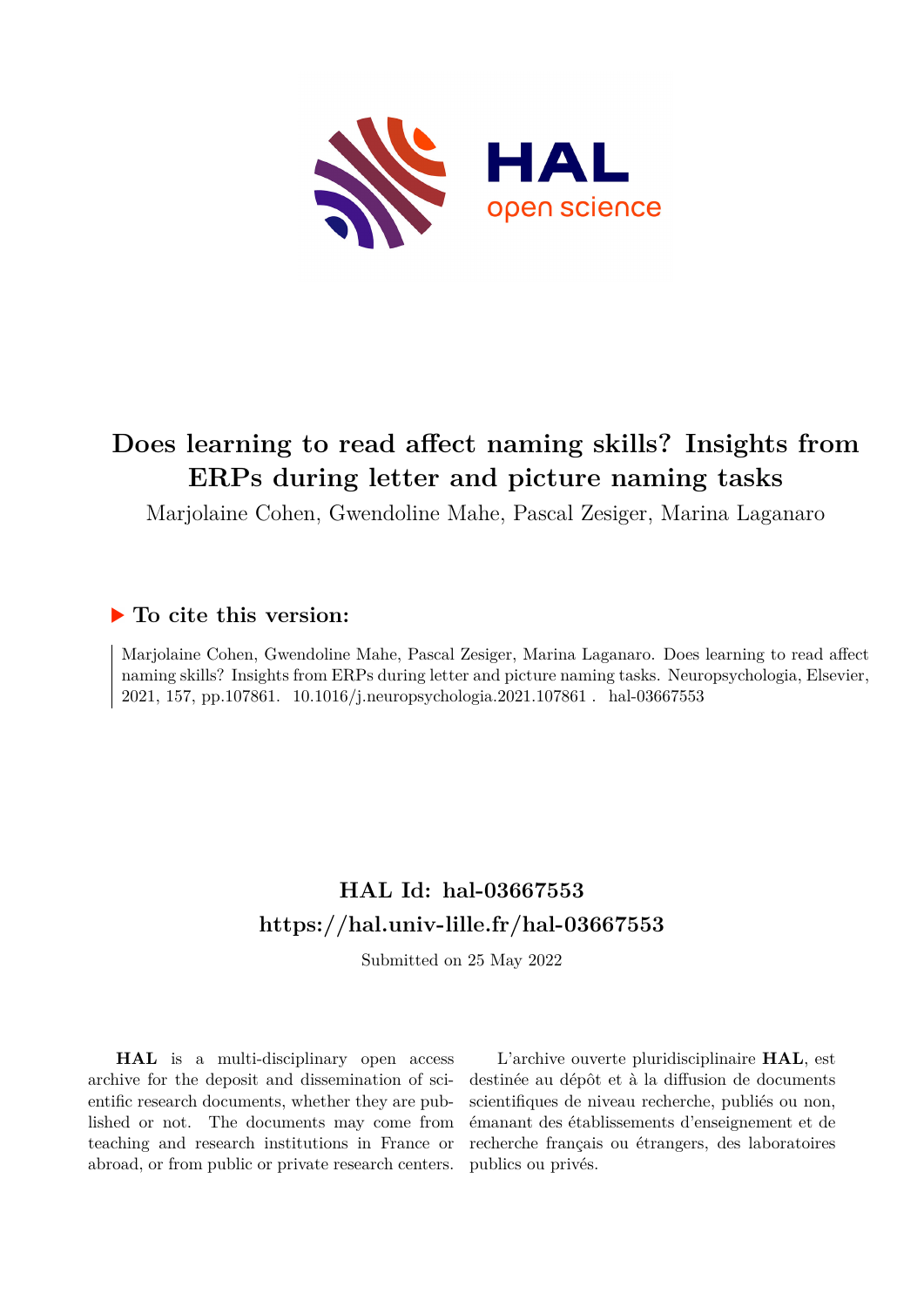

# **Does learning to read affect naming skills? Insights from ERPs during letter and picture naming tasks**

Marjolaine Cohen, Gwendoline Mahe, Pascal Zesiger, Marina Laganaro

## **To cite this version:**

Marjolaine Cohen, Gwendoline Mahe, Pascal Zesiger, Marina Laganaro. Does learning to read affect naming skills? Insights from ERPs during letter and picture naming tasks. Neuropsychologia, Elsevier, 2021, 157, pp.107861. 10.1016/j.neuropsychologia.2021.107861. hal-03667553

# **HAL Id: hal-03667553 <https://hal.univ-lille.fr/hal-03667553>**

Submitted on 25 May 2022

**HAL** is a multi-disciplinary open access archive for the deposit and dissemination of scientific research documents, whether they are published or not. The documents may come from teaching and research institutions in France or abroad, or from public or private research centers.

L'archive ouverte pluridisciplinaire **HAL**, est destinée au dépôt et à la diffusion de documents scientifiques de niveau recherche, publiés ou non, émanant des établissements d'enseignement et de recherche français ou étrangers, des laboratoires publics ou privés.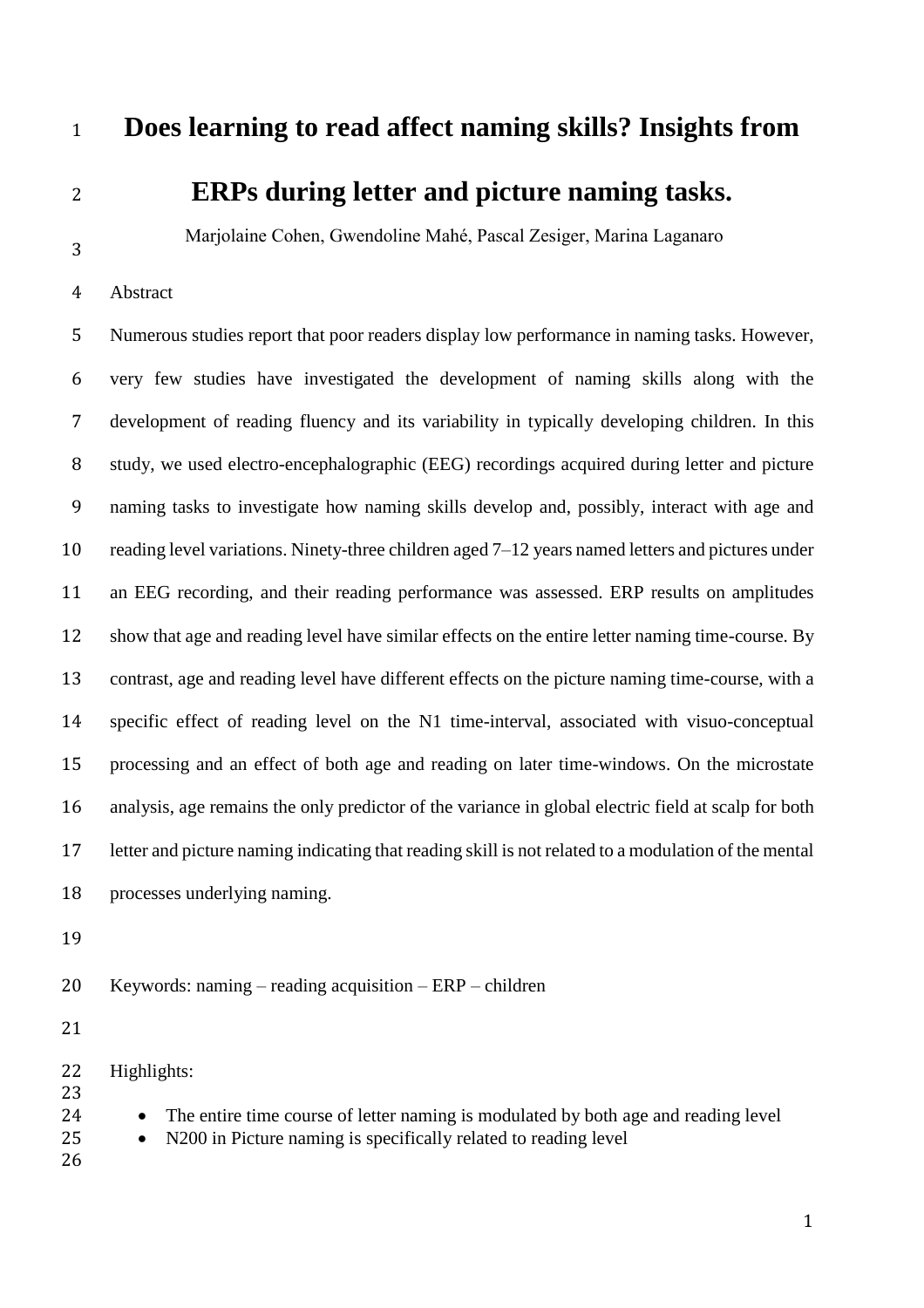## **Does learning to read affect naming skills? Insights from**

# **ERPs during letter and picture naming tasks.**

Marjolaine Cohen, Gwendoline Mahé, Pascal Zesiger, Marina Laganaro

Abstract

 Numerous studies report that poor readers display low performance in naming tasks. However, very few studies have investigated the development of naming skills along with the development of reading fluency and its variability in typically developing children. In this 8 study, we used electro-encephalographic (EEG) recordings acquired during letter and picture naming tasks to investigate how naming skills develop and, possibly, interact with age and reading level variations. Ninety-three children aged 7–12 years named letters and pictures under an EEG recording, and their reading performance was assessed. ERP results on amplitudes show that age and reading level have similar effects on the entire letter naming time-course. By contrast, age and reading level have different effects on the picture naming time-course, with a specific effect of reading level on the N1 time-interval, associated with visuo-conceptual processing and an effect of both age and reading on later time-windows. On the microstate analysis, age remains the only predictor of the variance in global electric field at scalp for both letter and picture naming indicating that reading skill is not related to a modulation of the mental processes underlying naming.

Keywords: naming – reading acquisition – ERP – children

Highlights:

24 • The entire time course of letter naming is modulated by both age and reading level

- N200 in Picture naming is specifically related to reading level
-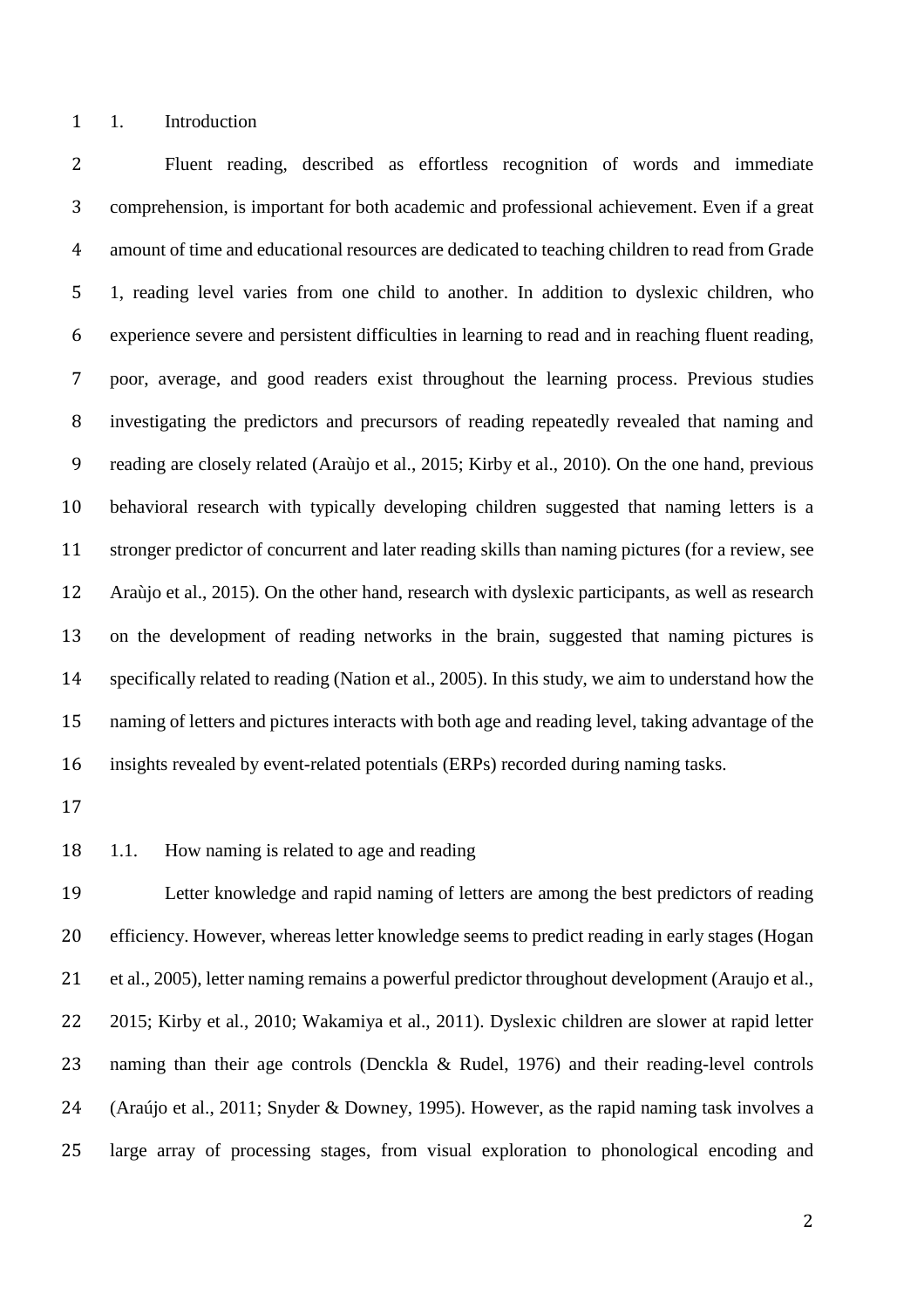1. Introduction

 Fluent reading, described as effortless recognition of words and immediate comprehension, is important for both academic and professional achievement. Even if a great amount of time and educational resources are dedicated to teaching children to read from Grade 1, reading level varies from one child to another. In addition to dyslexic children, who experience severe and persistent difficulties in learning to read and in reaching fluent reading, poor, average, and good readers exist throughout the learning process. Previous studies investigating the predictors and precursors of reading repeatedly revealed that naming and reading are closely related (Araùjo et al., 2015; Kirby et al., 2010). On the one hand, previous behavioral research with typically developing children suggested that naming letters is a stronger predictor of concurrent and later reading skills than naming pictures (for a review, see Araùjo et al., 2015). On the other hand, research with dyslexic participants, as well as research on the development of reading networks in the brain, suggested that naming pictures is specifically related to reading (Nation et al., 2005). In this study, we aim to understand how the naming of letters and pictures interacts with both age and reading level, taking advantage of the insights revealed by event-related potentials (ERPs) recorded during naming tasks.

- 
- 1.1. How naming is related to age and reading

 Letter knowledge and rapid naming of letters are among the best predictors of reading efficiency. However, whereas letter knowledge seems to predict reading in early stages (Hogan et al., 2005), letter naming remains a powerful predictor throughout development (Araujo et al., 2015; Kirby et al., 2010; Wakamiya et al., 2011). Dyslexic children are slower at rapid letter naming than their age controls (Denckla & Rudel, 1976) and their reading-level controls (Araújo et al., 2011; Snyder & Downey, 1995). However, as the rapid naming task involves a large array of processing stages, from visual exploration to phonological encoding and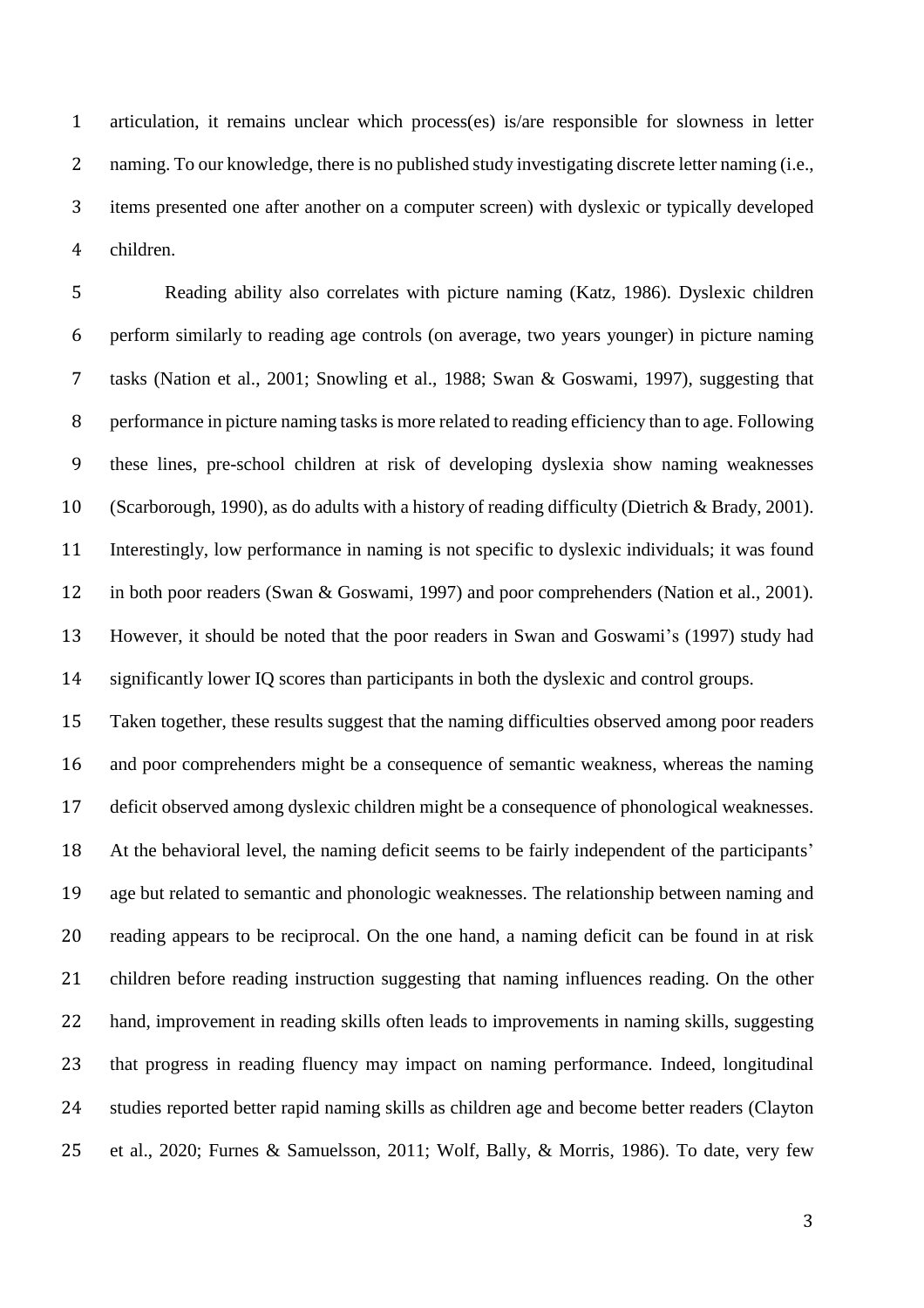articulation, it remains unclear which process(es) is/are responsible for slowness in letter 2 naming. To our knowledge, there is no published study investigating discrete letter naming (i.e., items presented one after another on a computer screen) with dyslexic or typically developed children.

 Reading ability also correlates with picture naming (Katz, 1986). Dyslexic children perform similarly to reading age controls (on average, two years younger) in picture naming tasks (Nation et al., 2001; Snowling et al., 1988; Swan & Goswami, 1997), suggesting that performance in picture naming tasks is more related to reading efficiency than to age. Following these lines, pre-school children at risk of developing dyslexia show naming weaknesses (Scarborough, 1990), as do adults with a history of reading difficulty (Dietrich & Brady, 2001). Interestingly, low performance in naming is not specific to dyslexic individuals; it was found in both poor readers (Swan & Goswami, 1997) and poor comprehenders (Nation et al., 2001). However, it should be noted that the poor readers in Swan and Goswami's (1997) study had significantly lower IQ scores than participants in both the dyslexic and control groups.

 Taken together, these results suggest that the naming difficulties observed among poor readers and poor comprehenders might be a consequence of semantic weakness, whereas the naming deficit observed among dyslexic children might be a consequence of phonological weaknesses. At the behavioral level, the naming deficit seems to be fairly independent of the participants' age but related to semantic and phonologic weaknesses. The relationship between naming and reading appears to be reciprocal. On the one hand, a naming deficit can be found in at risk children before reading instruction suggesting that naming influences reading. On the other hand, improvement in reading skills often leads to improvements in naming skills, suggesting that progress in reading fluency may impact on naming performance. Indeed, longitudinal studies reported better rapid naming skills as children age and become better readers (Clayton et al., 2020; Furnes & Samuelsson, 2011; Wolf, Bally, & Morris, 1986). To date, very few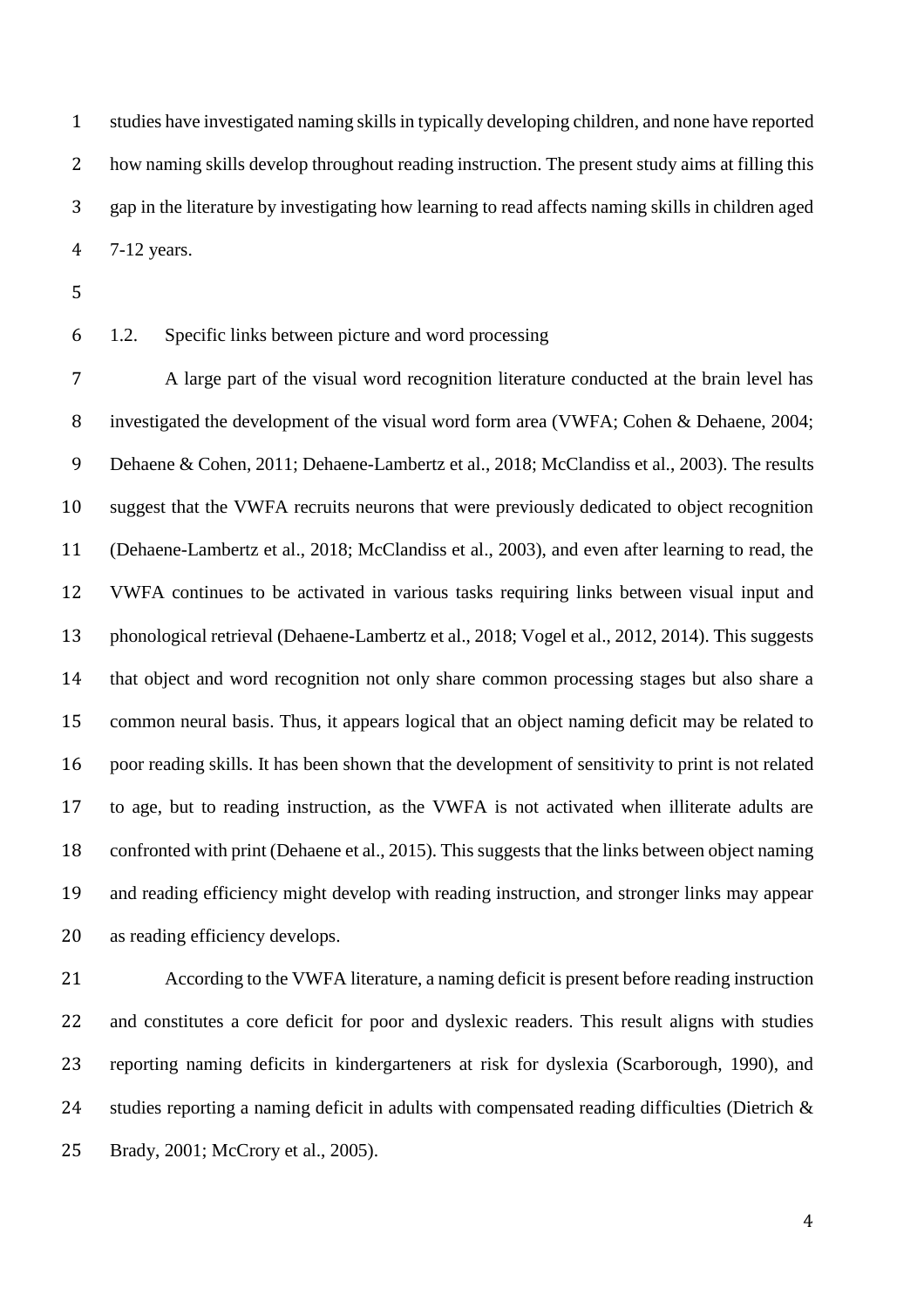studies have investigated naming skills in typically developing children, and none have reported how naming skills develop throughout reading instruction. The present study aims at filling this gap in the literature by investigating how learning to read affects naming skills in children aged 7-12 years.

### 1.2. Specific links between picture and word processing

 A large part of the visual word recognition literature conducted at the brain level has investigated the development of the visual word form area (VWFA; Cohen & Dehaene, 2004; Dehaene & Cohen, 2011; Dehaene-Lambertz et al., 2018; McClandiss et al., 2003). The results suggest that the VWFA recruits neurons that were previously dedicated to object recognition (Dehaene-Lambertz et al., 2018; McClandiss et al., 2003), and even after learning to read, the VWFA continues to be activated in various tasks requiring links between visual input and phonological retrieval (Dehaene-Lambertz et al., 2018; Vogel et al., 2012, 2014). This suggests that object and word recognition not only share common processing stages but also share a common neural basis. Thus, it appears logical that an object naming deficit may be related to poor reading skills. It has been shown that the development of sensitivity to print is not related to age, but to reading instruction, as the VWFA is not activated when illiterate adults are confronted with print (Dehaene et al., 2015). This suggests that the links between object naming and reading efficiency might develop with reading instruction, and stronger links may appear as reading efficiency develops.

 According to the VWFA literature, a naming deficit is present before reading instruction and constitutes a core deficit for poor and dyslexic readers. This result aligns with studies reporting naming deficits in kindergarteners at risk for dyslexia (Scarborough, 1990), and 24 studies reporting a naming deficit in adults with compensated reading difficulties (Dietrich & Brady, 2001; McCrory et al., 2005).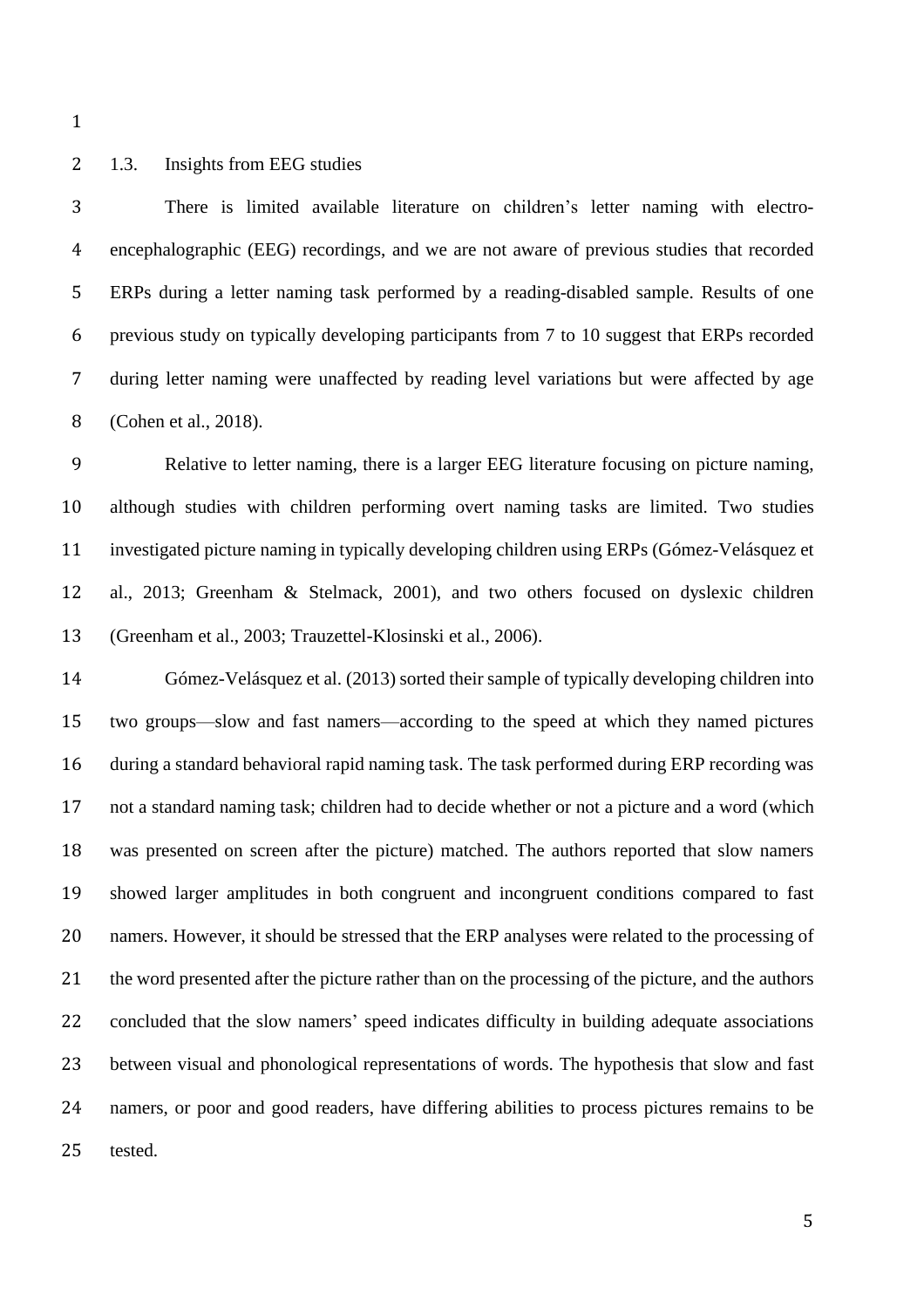### 1.3. Insights from EEG studies

 There is limited available literature on children's letter naming with electro- encephalographic (EEG) recordings, and we are not aware of previous studies that recorded ERPs during a letter naming task performed by a reading-disabled sample. Results of one previous study on typically developing participants from 7 to 10 suggest that ERPs recorded during letter naming were unaffected by reading level variations but were affected by age (Cohen et al., 2018).

 Relative to letter naming, there is a larger EEG literature focusing on picture naming, although studies with children performing overt naming tasks are limited. Two studies investigated picture naming in typically developing children using ERPs (Gómez-Velásquez et al., 2013; Greenham & Stelmack, 2001), and two others focused on dyslexic children (Greenham et al., 2003; Trauzettel-Klosinski et al., 2006).

 Gómez-Velásquez et al. (2013) sorted their sample of typically developing children into two groups—slow and fast namers—according to the speed at which they named pictures during a standard behavioral rapid naming task. The task performed during ERP recording was not a standard naming task; children had to decide whether or not a picture and a word (which was presented on screen after the picture) matched. The authors reported that slow namers showed larger amplitudes in both congruent and incongruent conditions compared to fast namers. However, it should be stressed that the ERP analyses were related to the processing of the word presented after the picture rather than on the processing of the picture, and the authors concluded that the slow namers' speed indicates difficulty in building adequate associations between visual and phonological representations of words. The hypothesis that slow and fast namers, or poor and good readers, have differing abilities to process pictures remains to be tested.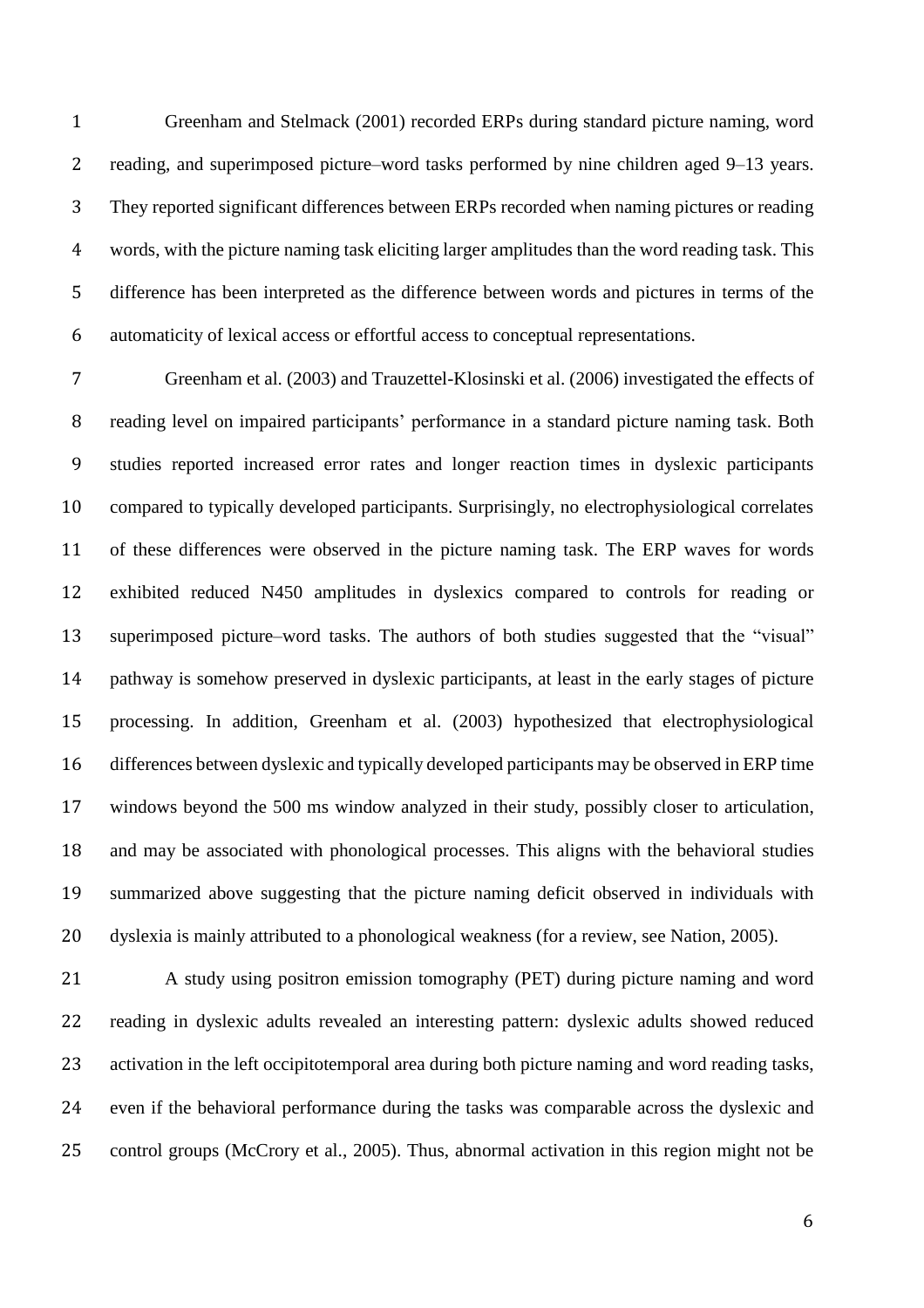Greenham and Stelmack (2001) recorded ERPs during standard picture naming, word reading, and superimposed picture–word tasks performed by nine children aged 9–13 years. They reported significant differences between ERPs recorded when naming pictures or reading words, with the picture naming task eliciting larger amplitudes than the word reading task. This difference has been interpreted as the difference between words and pictures in terms of the automaticity of lexical access or effortful access to conceptual representations.

 Greenham et al. (2003) and Trauzettel-Klosinski et al. (2006) investigated the effects of reading level on impaired participants' performance in a standard picture naming task. Both studies reported increased error rates and longer reaction times in dyslexic participants compared to typically developed participants. Surprisingly, no electrophysiological correlates of these differences were observed in the picture naming task. The ERP waves for words exhibited reduced N450 amplitudes in dyslexics compared to controls for reading or superimposed picture–word tasks. The authors of both studies suggested that the "visual" pathway is somehow preserved in dyslexic participants, at least in the early stages of picture processing. In addition, Greenham et al. (2003) hypothesized that electrophysiological differences between dyslexic and typically developed participants may be observed in ERP time windows beyond the 500 ms window analyzed in their study, possibly closer to articulation, and may be associated with phonological processes. This aligns with the behavioral studies summarized above suggesting that the picture naming deficit observed in individuals with dyslexia is mainly attributed to a phonological weakness (for a review, see Nation, 2005).

 A study using positron emission tomography (PET) during picture naming and word reading in dyslexic adults revealed an interesting pattern: dyslexic adults showed reduced 23 activation in the left occipitotemporal area during both picture naming and word reading tasks, even if the behavioral performance during the tasks was comparable across the dyslexic and control groups (McCrory et al., 2005). Thus, abnormal activation in this region might not be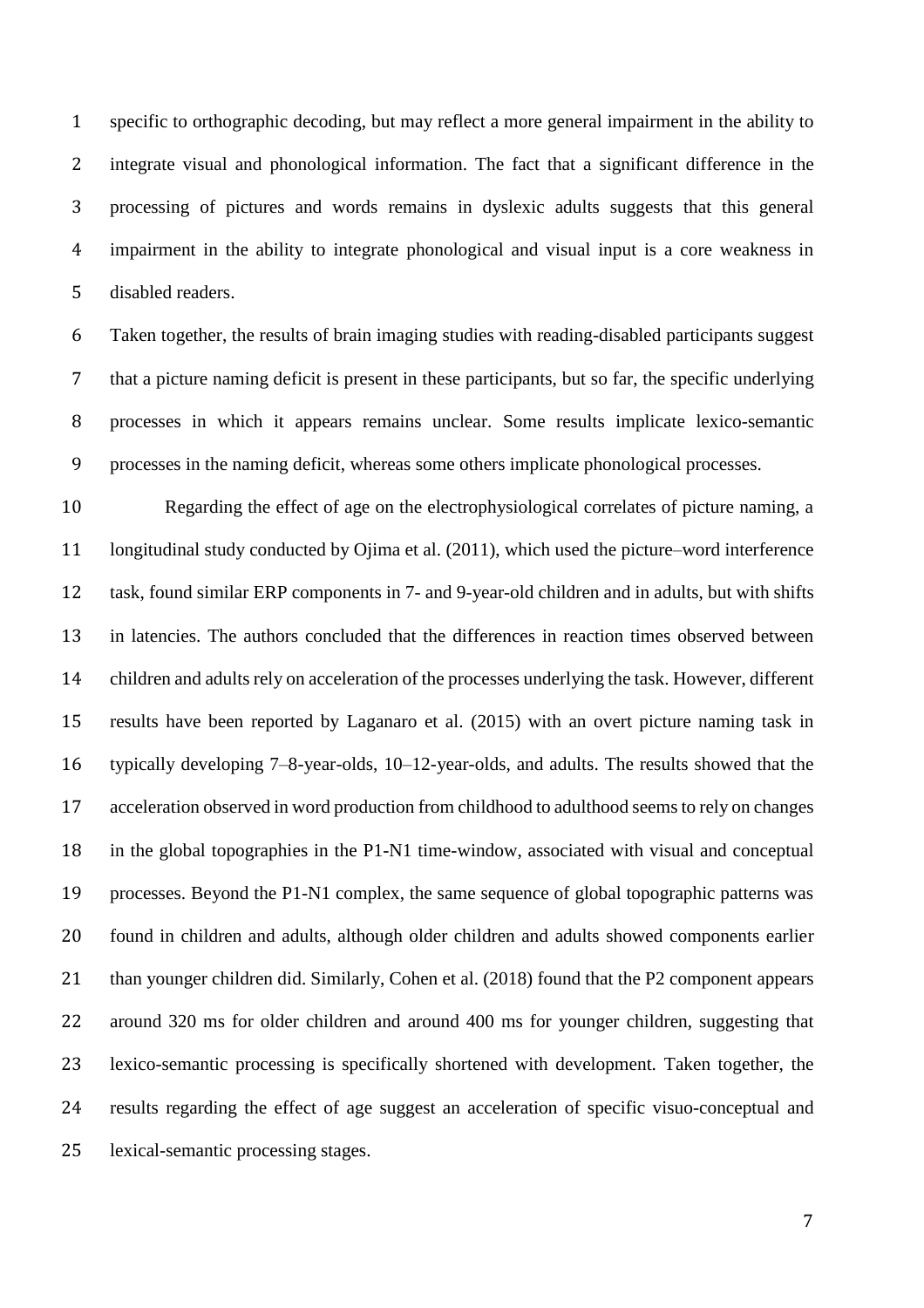specific to orthographic decoding, but may reflect a more general impairment in the ability to integrate visual and phonological information. The fact that a significant difference in the processing of pictures and words remains in dyslexic adults suggests that this general impairment in the ability to integrate phonological and visual input is a core weakness in disabled readers.

 Taken together, the results of brain imaging studies with reading-disabled participants suggest that a picture naming deficit is present in these participants, but so far, the specific underlying processes in which it appears remains unclear. Some results implicate lexico-semantic processes in the naming deficit, whereas some others implicate phonological processes.

 Regarding the effect of age on the electrophysiological correlates of picture naming, a longitudinal study conducted by Ojima et al. (2011), which used the picture–word interference task, found similar ERP components in 7- and 9-year-old children and in adults, but with shifts in latencies. The authors concluded that the differences in reaction times observed between children and adults rely on acceleration of the processes underlying the task. However, different results have been reported by Laganaro et al. (2015) with an overt picture naming task in typically developing 7–8-year-olds, 10–12-year-olds, and adults. The results showed that the acceleration observed in word production from childhood to adulthood seemsto rely on changes in the global topographies in the P1-N1 time-window, associated with visual and conceptual processes. Beyond the P1-N1 complex, the same sequence of global topographic patterns was found in children and adults, although older children and adults showed components earlier 21 than younger children did. Similarly, Cohen et al. (2018) found that the P2 component appears around 320 ms for older children and around 400 ms for younger children, suggesting that lexico-semantic processing is specifically shortened with development. Taken together, the results regarding the effect of age suggest an acceleration of specific visuo-conceptual and lexical-semantic processing stages.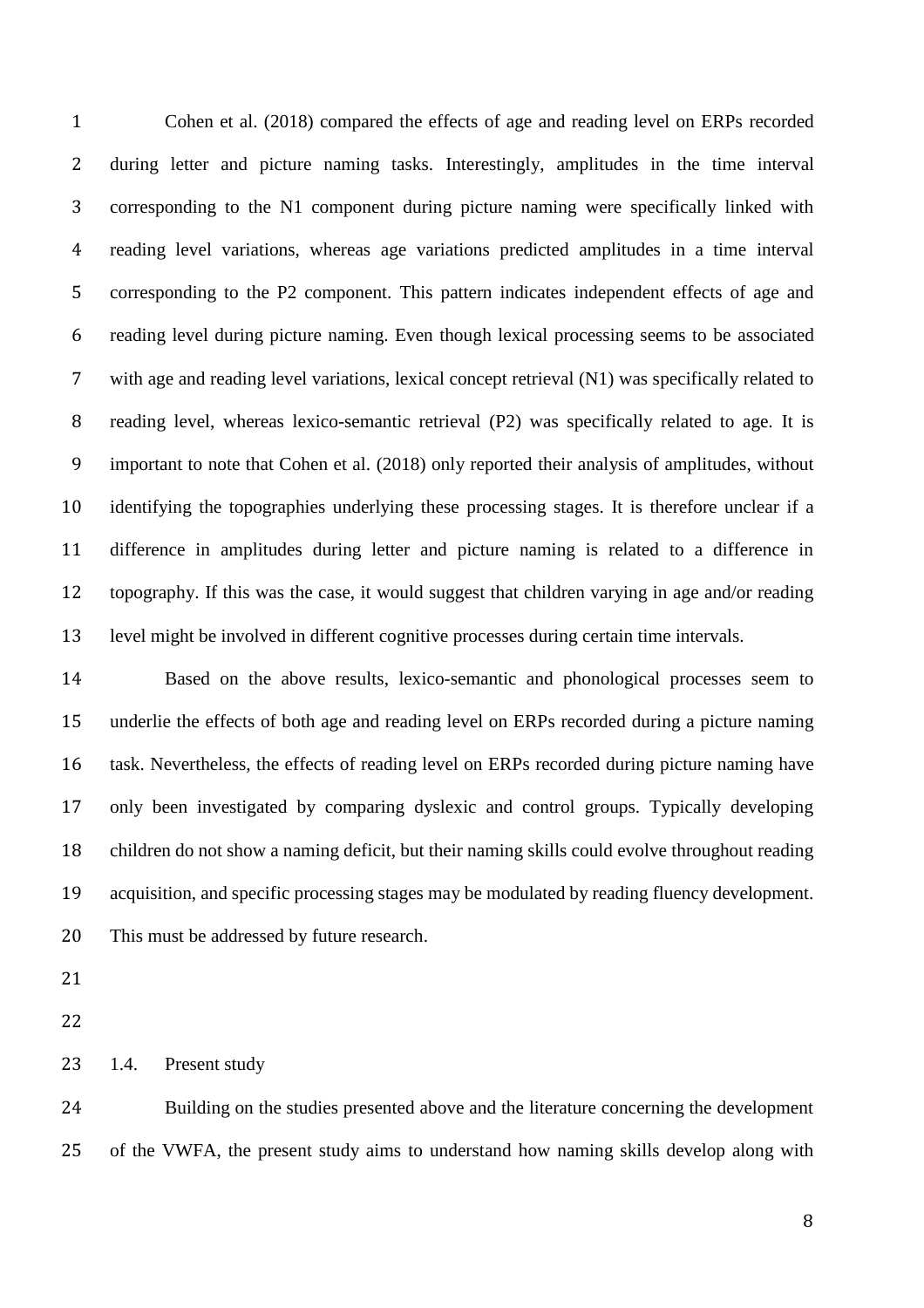Cohen et al. (2018) compared the effects of age and reading level on ERPs recorded during letter and picture naming tasks. Interestingly, amplitudes in the time interval corresponding to the N1 component during picture naming were specifically linked with reading level variations, whereas age variations predicted amplitudes in a time interval corresponding to the P2 component. This pattern indicates independent effects of age and reading level during picture naming. Even though lexical processing seems to be associated with age and reading level variations, lexical concept retrieval (N1) was specifically related to reading level, whereas lexico-semantic retrieval (P2) was specifically related to age. It is important to note that Cohen et al. (2018) only reported their analysis of amplitudes, without identifying the topographies underlying these processing stages. It is therefore unclear if a difference in amplitudes during letter and picture naming is related to a difference in topography. If this was the case, it would suggest that children varying in age and/or reading level might be involved in different cognitive processes during certain time intervals.

 Based on the above results, lexico-semantic and phonological processes seem to underlie the effects of both age and reading level on ERPs recorded during a picture naming task. Nevertheless, the effects of reading level on ERPs recorded during picture naming have only been investigated by comparing dyslexic and control groups. Typically developing children do not show a naming deficit, but their naming skills could evolve throughout reading acquisition, and specific processing stages may be modulated by reading fluency development. This must be addressed by future research.

1.4. Present study

 Building on the studies presented above and the literature concerning the development of the VWFA, the present study aims to understand how naming skills develop along with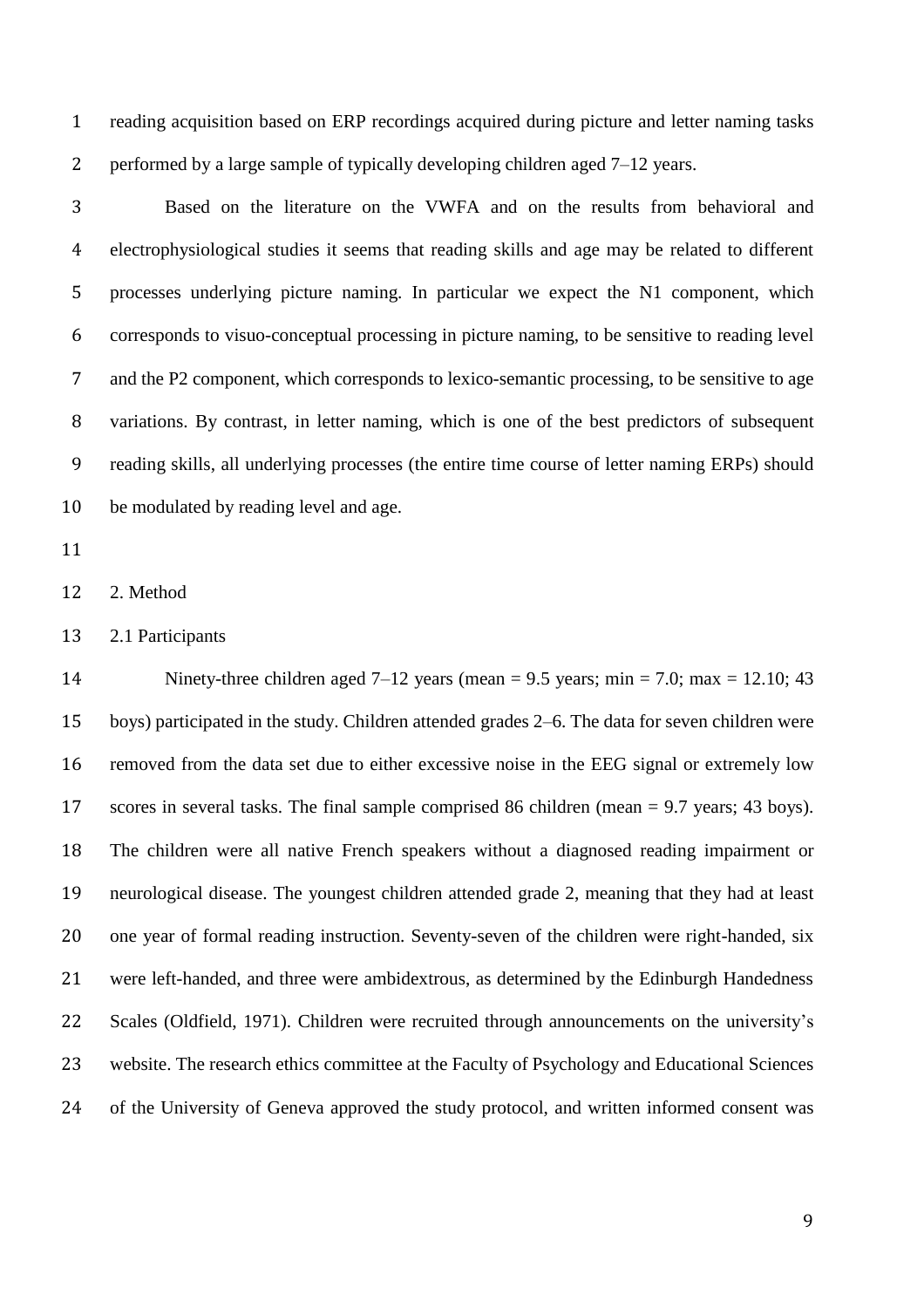reading acquisition based on ERP recordings acquired during picture and letter naming tasks 2 performed by a large sample of typically developing children aged 7–12 years.

 Based on the literature on the VWFA and on the results from behavioral and electrophysiological studies it seems that reading skills and age may be related to different processes underlying picture naming. In particular we expect the N1 component, which corresponds to visuo-conceptual processing in picture naming, to be sensitive to reading level and the P2 component, which corresponds to lexico-semantic processing, to be sensitive to age variations. By contrast, in letter naming, which is one of the best predictors of subsequent reading skills, all underlying processes (the entire time course of letter naming ERPs) should be modulated by reading level and age.

2. Method

2.1 Participants

14 Ninety-three children aged  $7-12$  years (mean = 9.5 years; min = 7.0; max = 12.10; 43 boys) participated in the study. Children attended grades 2–6. The data for seven children were removed from the data set due to either excessive noise in the EEG signal or extremely low scores in several tasks. The final sample comprised 86 children (mean = 9.7 years; 43 boys). The children were all native French speakers without a diagnosed reading impairment or neurological disease. The youngest children attended grade 2, meaning that they had at least one year of formal reading instruction. Seventy-seven of the children were right-handed, six were left-handed, and three were ambidextrous, as determined by the Edinburgh Handedness Scales (Oldfield, 1971). Children were recruited through announcements on the university's website. The research ethics committee at the Faculty of Psychology and Educational Sciences of the University of Geneva approved the study protocol, and written informed consent was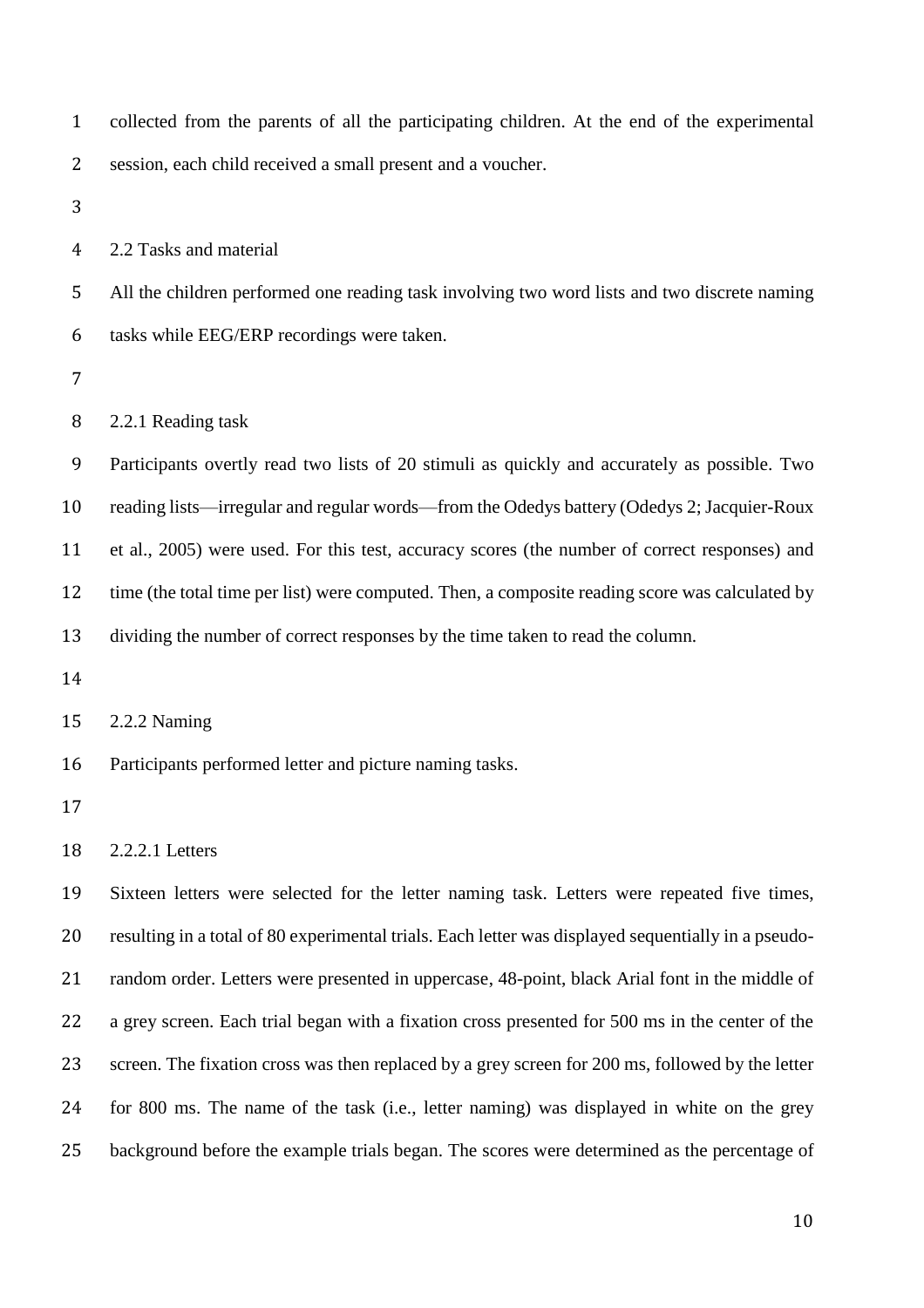collected from the parents of all the participating children. At the end of the experimental session, each child received a small present and a voucher.

2.2 Tasks and material

 All the children performed one reading task involving two word lists and two discrete naming tasks while EEG/ERP recordings were taken.

2.2.1 Reading task

 Participants overtly read two lists of 20 stimuli as quickly and accurately as possible. Two reading lists—irregular and regular words—from the Odedys battery (Odedys 2; Jacquier-Roux et al., 2005) were used. For this test, accuracy scores (the number of correct responses) and 12 time (the total time per list) were computed. Then, a composite reading score was calculated by dividing the number of correct responses by the time taken to read the column.

2.2.2 Naming

Participants performed letter and picture naming tasks.

2.2.2.1 Letters

 Sixteen letters were selected for the letter naming task. Letters were repeated five times, resulting in a total of 80 experimental trials. Each letter was displayed sequentially in a pseudo- random order. Letters were presented in uppercase, 48-point, black Arial font in the middle of a grey screen. Each trial began with a fixation cross presented for 500 ms in the center of the 23 screen. The fixation cross was then replaced by a grey screen for 200 ms, followed by the letter for 800 ms. The name of the task (i.e., letter naming) was displayed in white on the grey background before the example trials began. The scores were determined as the percentage of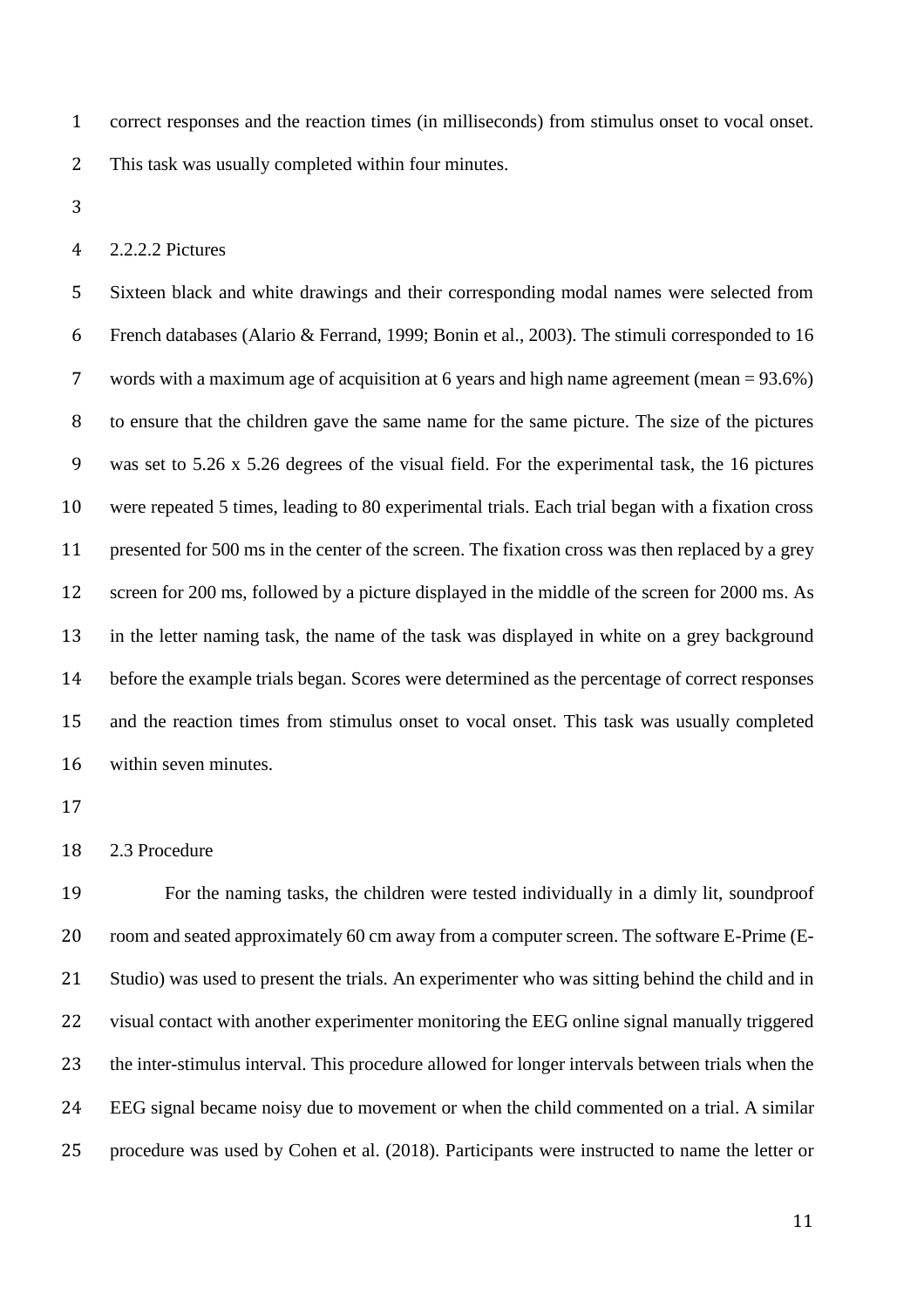correct responses and the reaction times (in milliseconds) from stimulus onset to vocal onset. This task was usually completed within four minutes.

2.2.2.2 Pictures

 Sixteen black and white drawings and their corresponding modal names were selected from French databases (Alario & Ferrand, 1999; Bonin et al., 2003). The stimuli corresponded to 16 words with a maximum age of acquisition at 6 years and high name agreement (mean = 93.6%) to ensure that the children gave the same name for the same picture. The size of the pictures was set to 5.26 x 5.26 degrees of the visual field. For the experimental task, the 16 pictures were repeated 5 times, leading to 80 experimental trials. Each trial began with a fixation cross presented for 500 ms in the center of the screen. The fixation cross was then replaced by a grey 12 screen for 200 ms, followed by a picture displayed in the middle of the screen for 2000 ms. As in the letter naming task, the name of the task was displayed in white on a grey background before the example trials began. Scores were determined as the percentage of correct responses and the reaction times from stimulus onset to vocal onset. This task was usually completed within seven minutes.

2.3 Procedure

 For the naming tasks, the children were tested individually in a dimly lit, soundproof room and seated approximately 60 cm away from a computer screen. The software E-Prime (E- Studio) was used to present the trials. An experimenter who was sitting behind the child and in visual contact with another experimenter monitoring the EEG online signal manually triggered the inter-stimulus interval. This procedure allowed for longer intervals between trials when the EEG signal became noisy due to movement or when the child commented on a trial. A similar procedure was used by Cohen et al. (2018). Participants were instructed to name the letter or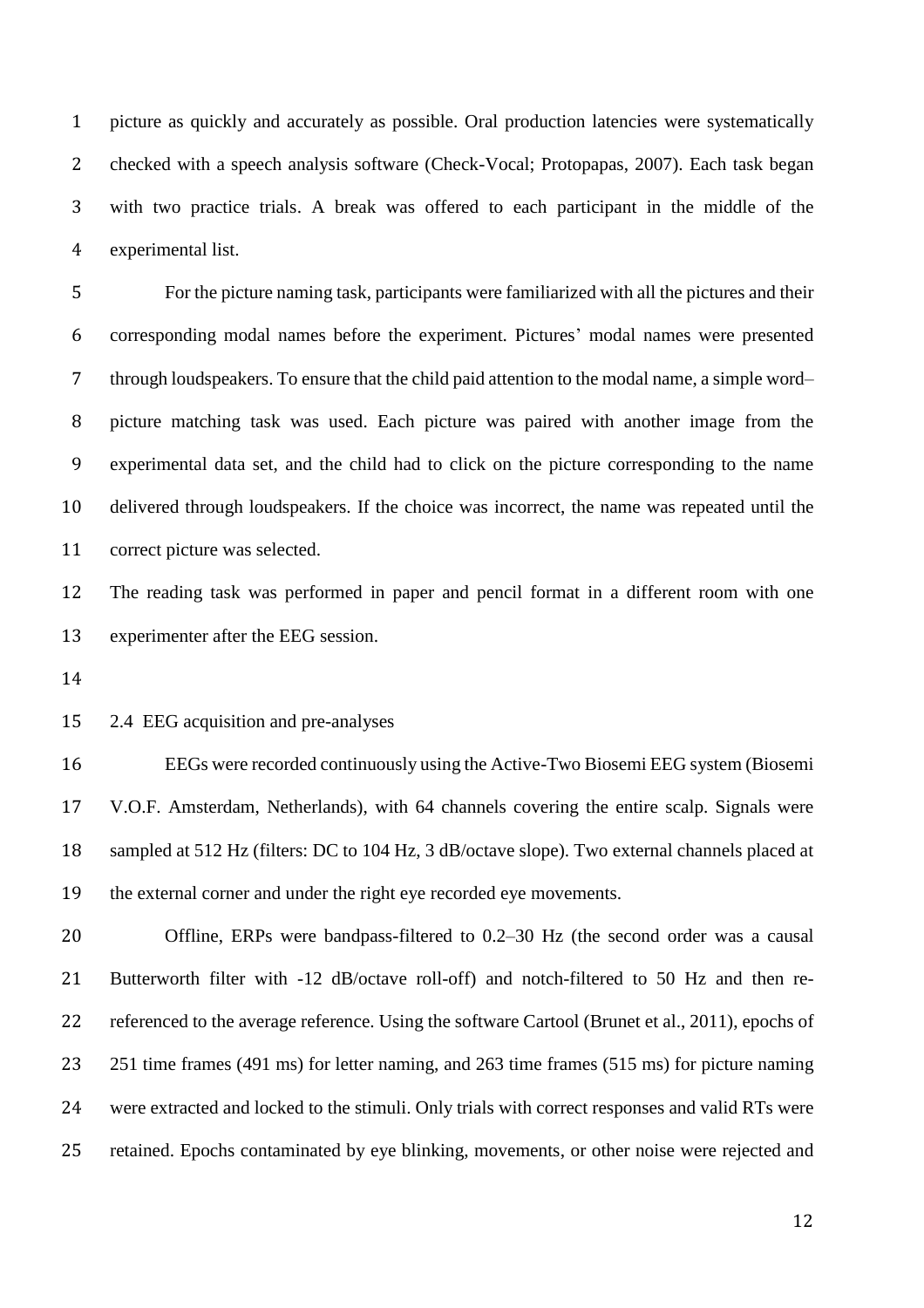picture as quickly and accurately as possible. Oral production latencies were systematically checked with a speech analysis software (Check-Vocal; Protopapas, 2007). Each task began with two practice trials. A break was offered to each participant in the middle of the experimental list.

 For the picture naming task, participants were familiarized with all the pictures and their corresponding modal names before the experiment. Pictures' modal names were presented through loudspeakers. To ensure that the child paid attention to the modal name, a simple word– picture matching task was used. Each picture was paired with another image from the experimental data set, and the child had to click on the picture corresponding to the name delivered through loudspeakers. If the choice was incorrect, the name was repeated until the correct picture was selected.

 The reading task was performed in paper and pencil format in a different room with one experimenter after the EEG session.

2.4 EEG acquisition and pre-analyses

 EEGs were recorded continuously using the Active-Two Biosemi EEG system (Biosemi V.O.F. Amsterdam, Netherlands), with 64 channels covering the entire scalp. Signals were sampled at 512 Hz (filters: DC to 104 Hz, 3 dB/octave slope). Two external channels placed at the external corner and under the right eye recorded eye movements.

 Offline, ERPs were bandpass-filtered to 0.2–30 Hz (the second order was a causal Butterworth filter with -12 dB/octave roll-off) and notch-filtered to 50 Hz and then re- referenced to the average reference. Using the software Cartool (Brunet et al., 2011), epochs of 23 251 time frames (491 ms) for letter naming, and 263 time frames (515 ms) for picture naming were extracted and locked to the stimuli. Only trials with correct responses and valid RTs were retained. Epochs contaminated by eye blinking, movements, or other noise were rejected and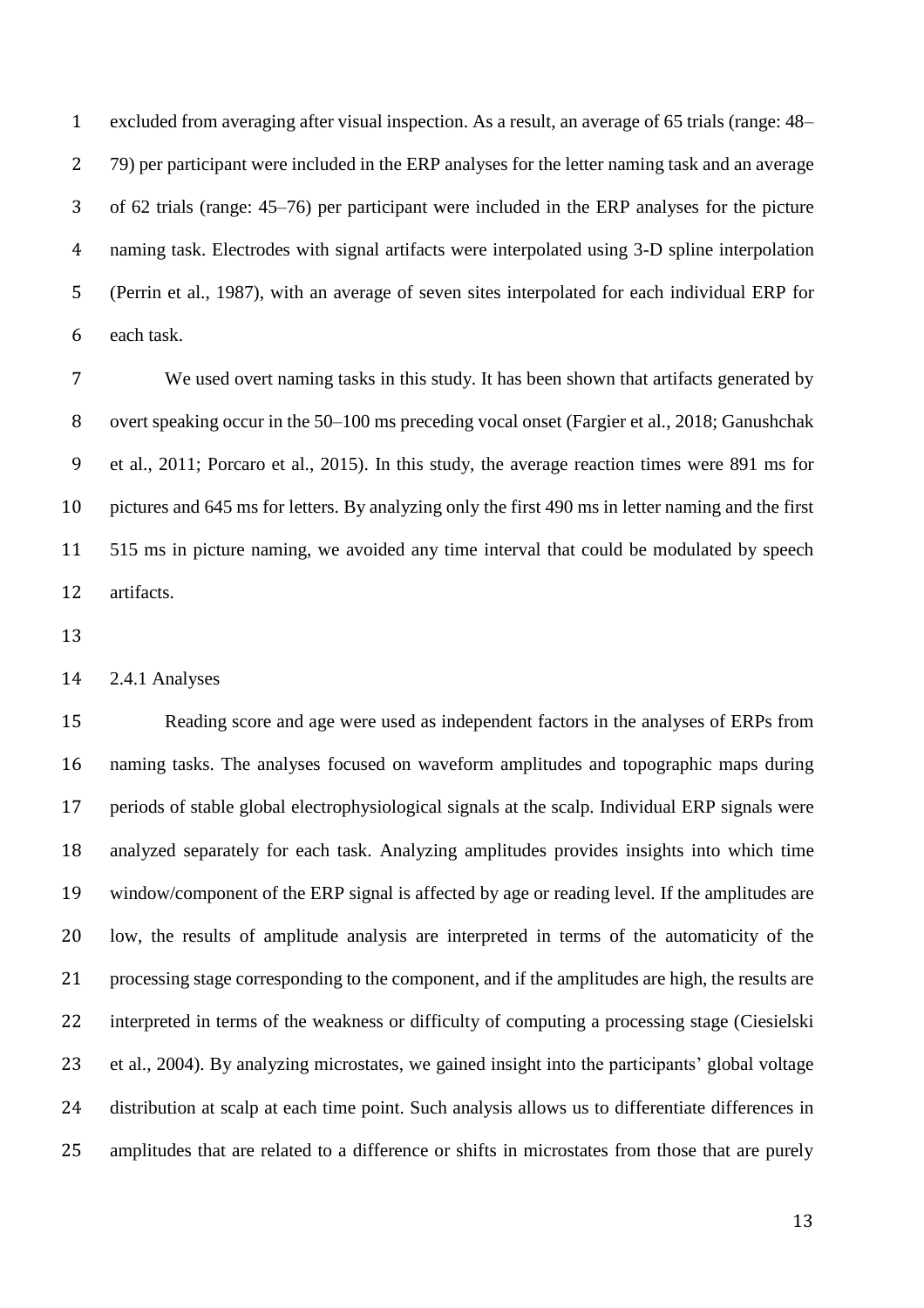excluded from averaging after visual inspection. As a result, an average of 65 trials (range: 48– 79) per participant were included in the ERP analyses for the letter naming task and an average of 62 trials (range: 45–76) per participant were included in the ERP analyses for the picture naming task. Electrodes with signal artifacts were interpolated using 3-D spline interpolation (Perrin et al., 1987), with an average of seven sites interpolated for each individual ERP for each task.

 We used overt naming tasks in this study. It has been shown that artifacts generated by overt speaking occur in the 50–100 ms preceding vocal onset (Fargier et al., 2018; Ganushchak et al., 2011; Porcaro et al., 2015). In this study, the average reaction times were 891 ms for pictures and 645 ms for letters. By analyzing only the first 490 ms in letter naming and the first 515 ms in picture naming, we avoided any time interval that could be modulated by speech artifacts.

2.4.1 Analyses

 Reading score and age were used as independent factors in the analyses of ERPs from naming tasks. The analyses focused on waveform amplitudes and topographic maps during periods of stable global electrophysiological signals at the scalp. Individual ERP signals were analyzed separately for each task. Analyzing amplitudes provides insights into which time window/component of the ERP signal is affected by age or reading level. If the amplitudes are low, the results of amplitude analysis are interpreted in terms of the automaticity of the processing stage corresponding to the component, and if the amplitudes are high, the results are interpreted in terms of the weakness or difficulty of computing a processing stage (Ciesielski et al., 2004). By analyzing microstates, we gained insight into the participants' global voltage distribution at scalp at each time point. Such analysis allows us to differentiate differences in amplitudes that are related to a difference or shifts in microstates from those that are purely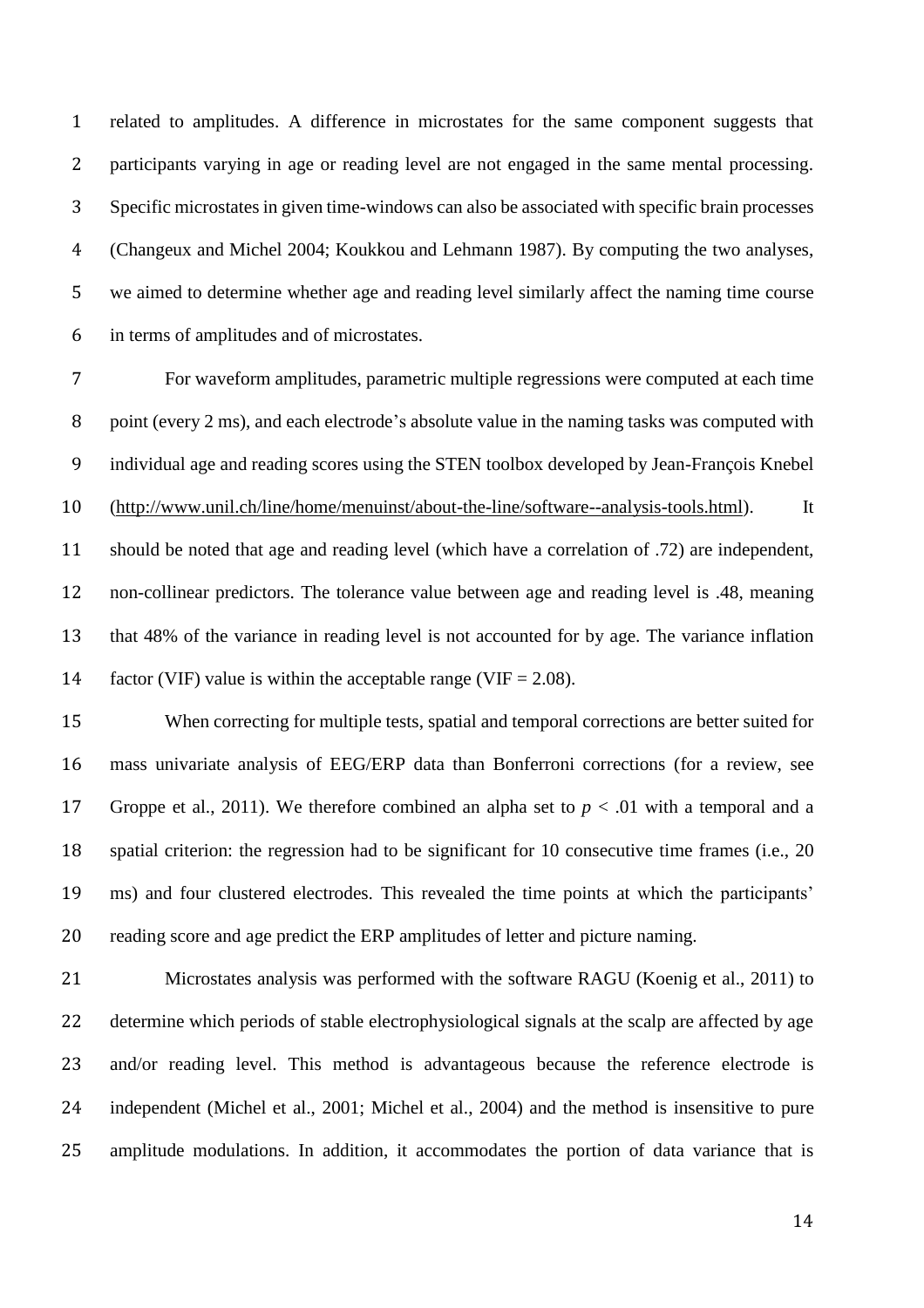related to amplitudes. A difference in microstates for the same component suggests that participants varying in age or reading level are not engaged in the same mental processing. Specific microstates in given time-windows can also be associated with specific brain processes (Changeux and Michel 2004; Koukkou and Lehmann 1987). By computing the two analyses, we aimed to determine whether age and reading level similarly affect the naming time course in terms of amplitudes and of microstates.

 For waveform amplitudes, parametric multiple regressions were computed at each time point (every 2 ms), and each electrode's absolute value in the naming tasks was computed with individual age and reading scores using the STEN toolbox developed by Jean-François Knebel [\(http://www.unil.ch/line/home/menuinst/about-the-line/software--analysis-tools.html\)](http://www.unil.ch/line/home/menuinst/about-the-line/software--analysis-tools.html). It should be noted that age and reading level (which have a correlation of .72) are independent, non-collinear predictors. The tolerance value between age and reading level is .48, meaning that 48% of the variance in reading level is not accounted for by age. The variance inflation 14 factor (VIF) value is within the acceptable range (VIF  $= 2.08$ ).

 When correcting for multiple tests, spatial and temporal corrections are better suited for mass univariate analysis of EEG/ERP data than Bonferroni corrections (for a review, see 17 Groppe et al., 2011). We therefore combined an alpha set to  $p < .01$  with a temporal and a spatial criterion: the regression had to be significant for 10 consecutive time frames (i.e., 20 ms) and four clustered electrodes. This revealed the time points at which the participants' reading score and age predict the ERP amplitudes of letter and picture naming.

 Microstates analysis was performed with the software RAGU (Koenig et al., 2011) to determine which periods of stable electrophysiological signals at the scalp are affected by age and/or reading level. This method is advantageous because the reference electrode is independent (Michel et al., 2001; Michel et al., 2004) and the method is insensitive to pure amplitude modulations. In addition, it accommodates the portion of data variance that is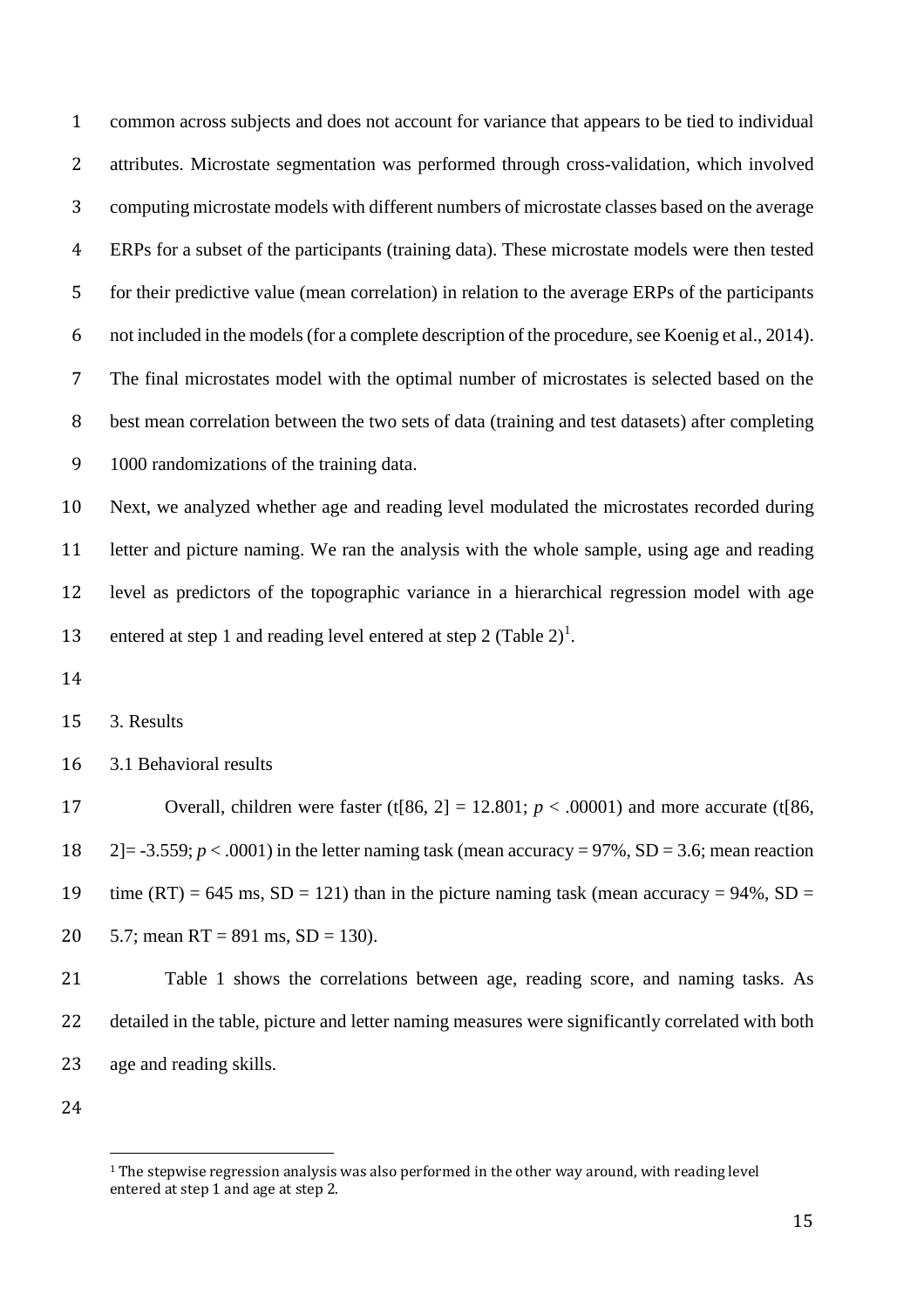common across subjects and does not account for variance that appears to be tied to individual attributes. Microstate segmentation was performed through cross-validation, which involved computing microstate models with different numbers of microstate classes based on the average ERPs for a subset of the participants (training data). These microstate models were then tested for their predictive value (mean correlation) in relation to the average ERPs of the participants not included in the models(for a complete description of the procedure, see Koenig et al., 2014). The final microstates model with the optimal number of microstates is selected based on the best mean correlation between the two sets of data (training and test datasets) after completing 1000 randomizations of the training data.

 Next, we analyzed whether age and reading level modulated the microstates recorded during letter and picture naming. We ran the analysis with the whole sample, using age and reading level as predictors of the topographic variance in a hierarchical regression model with age 13 entered at step 1 and reading level entered at step 2 (Table 2)<sup>1</sup>.

3. Results

3.1 Behavioral results

17 Overall, children were faster  $(t[86, 2] = 12.801; p < .00001)$  and more accurate  $(t[86, 1] = 12.801; p < .00001)$  2]= -3.559; *p* < .0001) in the letter naming task (mean accuracy = 97%, SD = 3.6; mean reaction 19 time  $(RT) = 645$  ms,  $SD = 121$ ) than in the picture naming task (mean accuracy = 94%,  $SD =$ 20  $5.7$ ; mean RT = 891 ms, SD = 130).

 Table 1 shows the correlations between age, reading score, and naming tasks. As detailed in the table, picture and letter naming measures were significantly correlated with both age and reading skills.

 $\overline{a}$ 

<sup>&</sup>lt;sup>1</sup> The stepwise regression analysis was also performed in the other way around, with reading level entered at step 1 and age at step 2.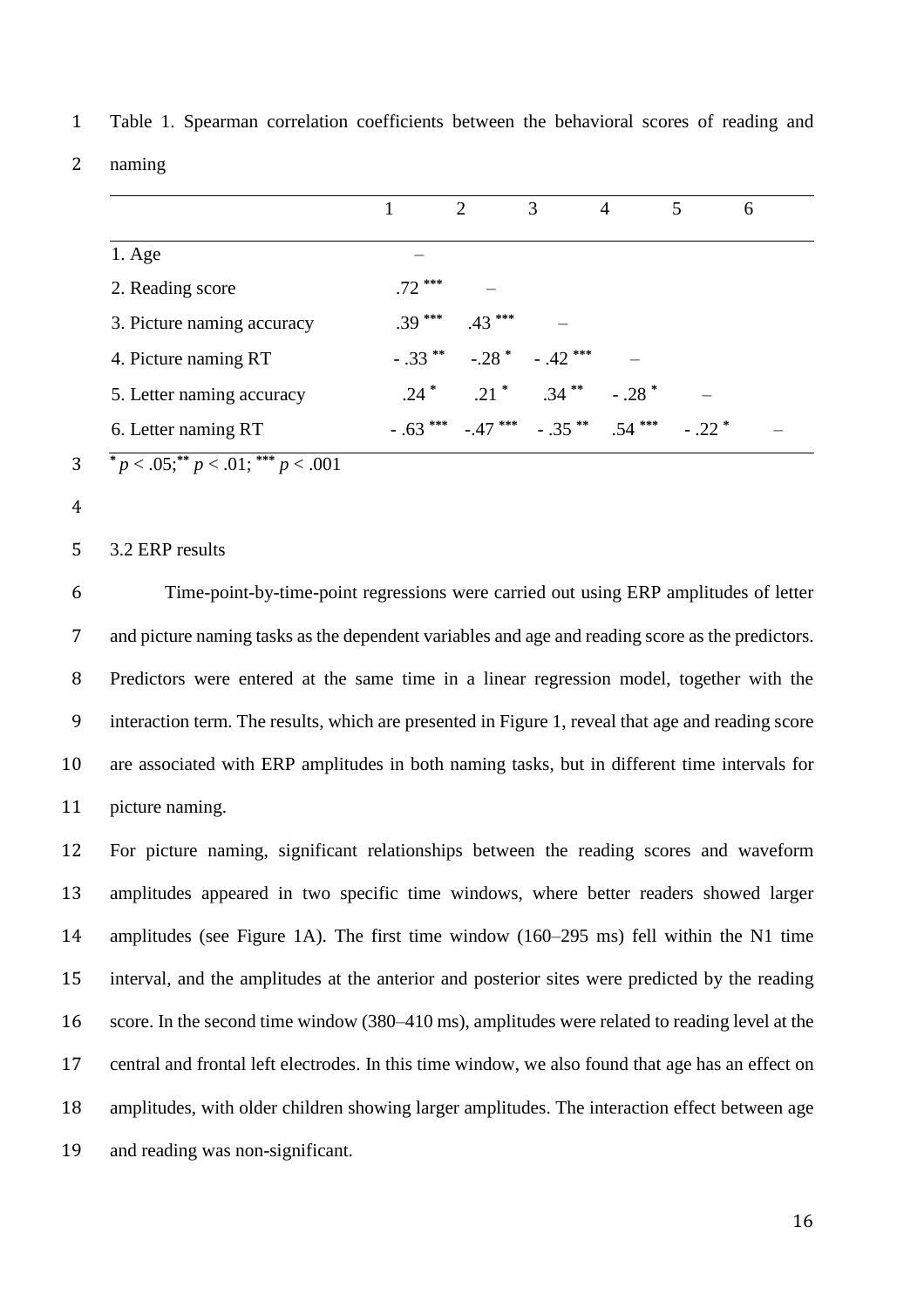|                            |          | $\mathcal{D}_{\mathcal{L}}$ | 3                                                       | 4                   | 5. | 6 |  |
|----------------------------|----------|-----------------------------|---------------------------------------------------------|---------------------|----|---|--|
| $1. \text{Age}$            |          |                             |                                                         |                     |    |   |  |
| 2. Reading score           | $.72***$ |                             |                                                         |                     |    |   |  |
| 3. Picture naming accuracy | $.39***$ | $.43***$                    |                                                         |                     |    |   |  |
| 4. Picture naming RT       |          |                             | $-.33$ ** $-.28$ * $-.42$ ***                           |                     |    |   |  |
| 5. Letter naming accuracy  |          |                             | $.24^*$ $.21^*$ $.34^{**}$                              | $-.28$ <sup>*</sup> |    |   |  |
| 6. Letter naming RT        |          |                             | $-0.63$ *** $-0.47$ *** $-0.35$ ** $0.54$ *** $-0.22$ * |                     |    |   |  |
|                            |          |                             |                                                         |                     |    |   |  |

1 Table 1. Spearman correlation coefficients between the behavioral scores of reading and

2 naming

- **3**  $\frac{}{p}$  < .05;  $\frac{p}{p}$  < .01;  $\frac{p}{p}$  < .001
- 4

5 3.2 ERP results

 Time-point-by-time-point regressions were carried out using ERP amplitudes of letter and picture naming tasks as the dependent variables and age and reading score as the predictors. Predictors were entered at the same time in a linear regression model, together with the interaction term. The results, which are presented in Figure 1, reveal that age and reading score are associated with ERP amplitudes in both naming tasks, but in different time intervals for picture naming.

 For picture naming, significant relationships between the reading scores and waveform amplitudes appeared in two specific time windows, where better readers showed larger amplitudes (see Figure 1A). The first time window (160–295 ms) fell within the N1 time interval, and the amplitudes at the anterior and posterior sites were predicted by the reading 16 score. In the second time window (380–410 ms), amplitudes were related to reading level at the central and frontal left electrodes. In this time window, we also found that age has an effect on amplitudes, with older children showing larger amplitudes. The interaction effect between age and reading was non-significant.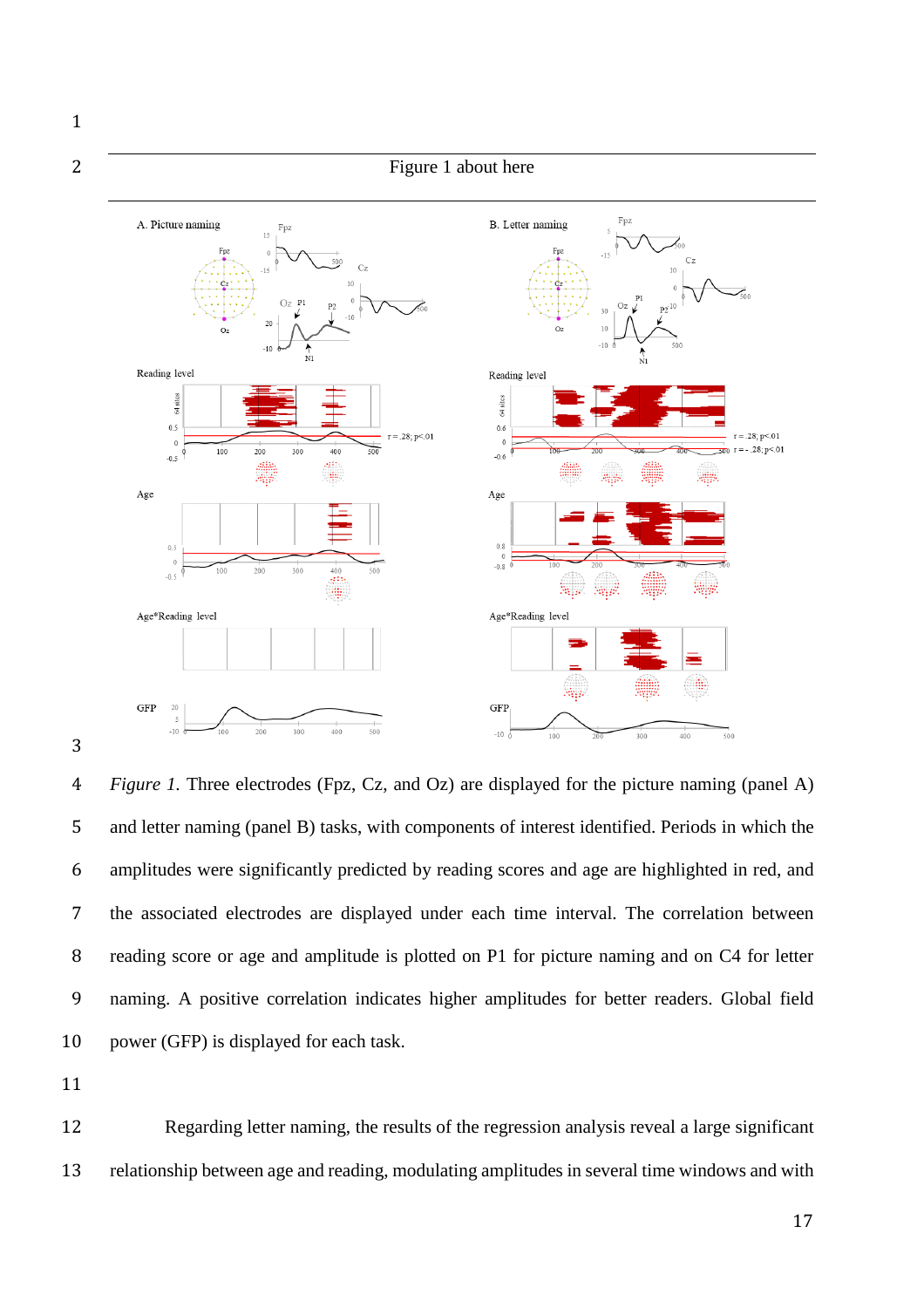

 *Figure 1.* Three electrodes (Fpz, Cz, and Oz) are displayed for the picture naming (panel A) and letter naming (panel B) tasks, with components of interest identified. Periods in which the amplitudes were significantly predicted by reading scores and age are highlighted in red, and the associated electrodes are displayed under each time interval. The correlation between reading score or age and amplitude is plotted on P1 for picture naming and on C4 for letter naming. A positive correlation indicates higher amplitudes for better readers. Global field power (GFP) is displayed for each task.

 Regarding letter naming, the results of the regression analysis reveal a large significant relationship between age and reading, modulating amplitudes in several time windows and with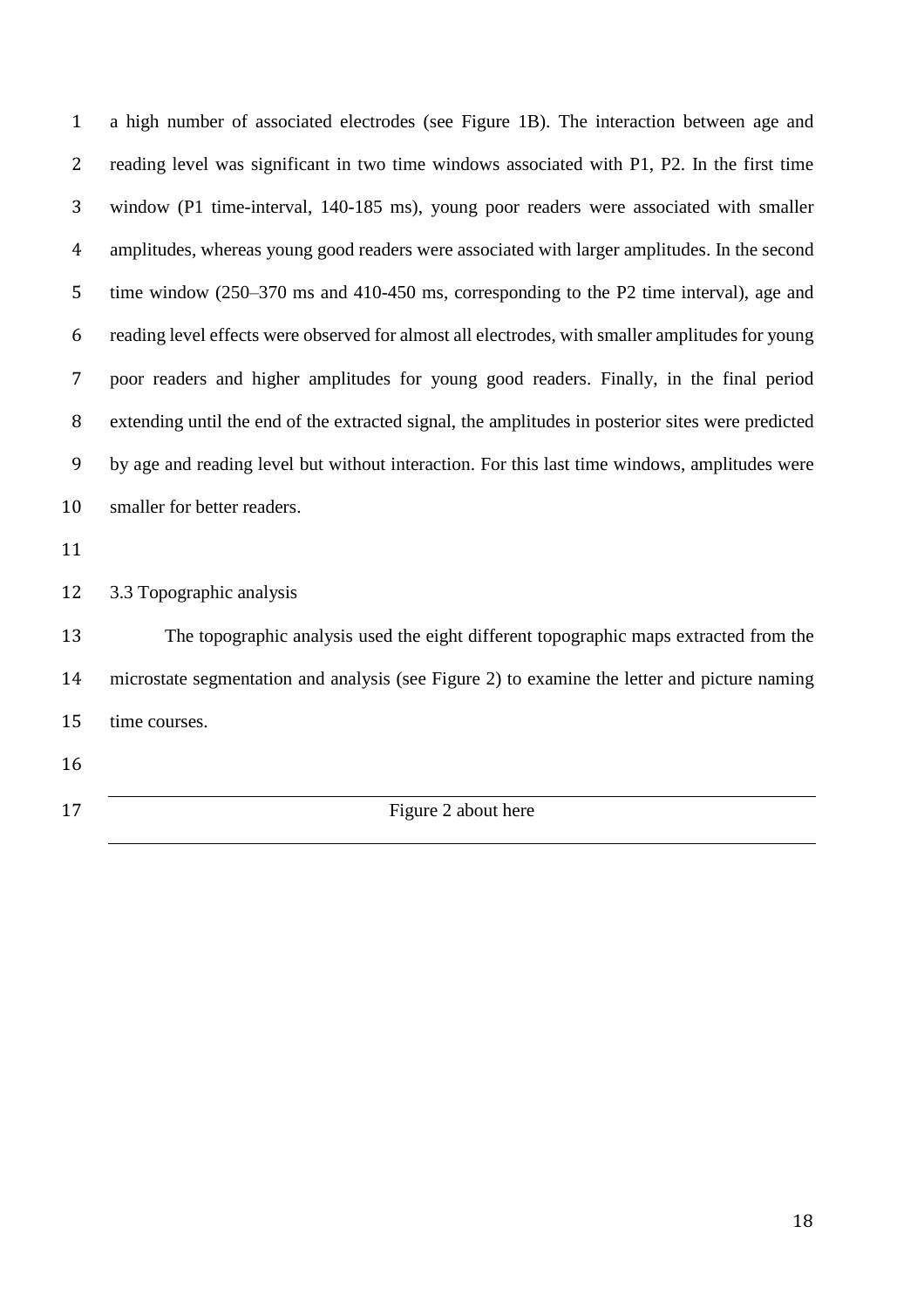a high number of associated electrodes (see Figure 1B). The interaction between age and reading level was significant in two time windows associated with P1, P2. In the first time window (P1 time-interval, 140-185 ms), young poor readers were associated with smaller amplitudes, whereas young good readers were associated with larger amplitudes. In the second time window (250–370 ms and 410-450 ms, corresponding to the P2 time interval), age and reading level effects were observed for almost all electrodes, with smaller amplitudes for young poor readers and higher amplitudes for young good readers. Finally, in the final period extending until the end of the extracted signal, the amplitudes in posterior sites were predicted by age and reading level but without interaction. For this last time windows, amplitudes were smaller for better readers. 3.3 Topographic analysis The topographic analysis used the eight different topographic maps extracted from the microstate segmentation and analysis (see Figure 2) to examine the letter and picture naming time courses. 17 Figure 2 about here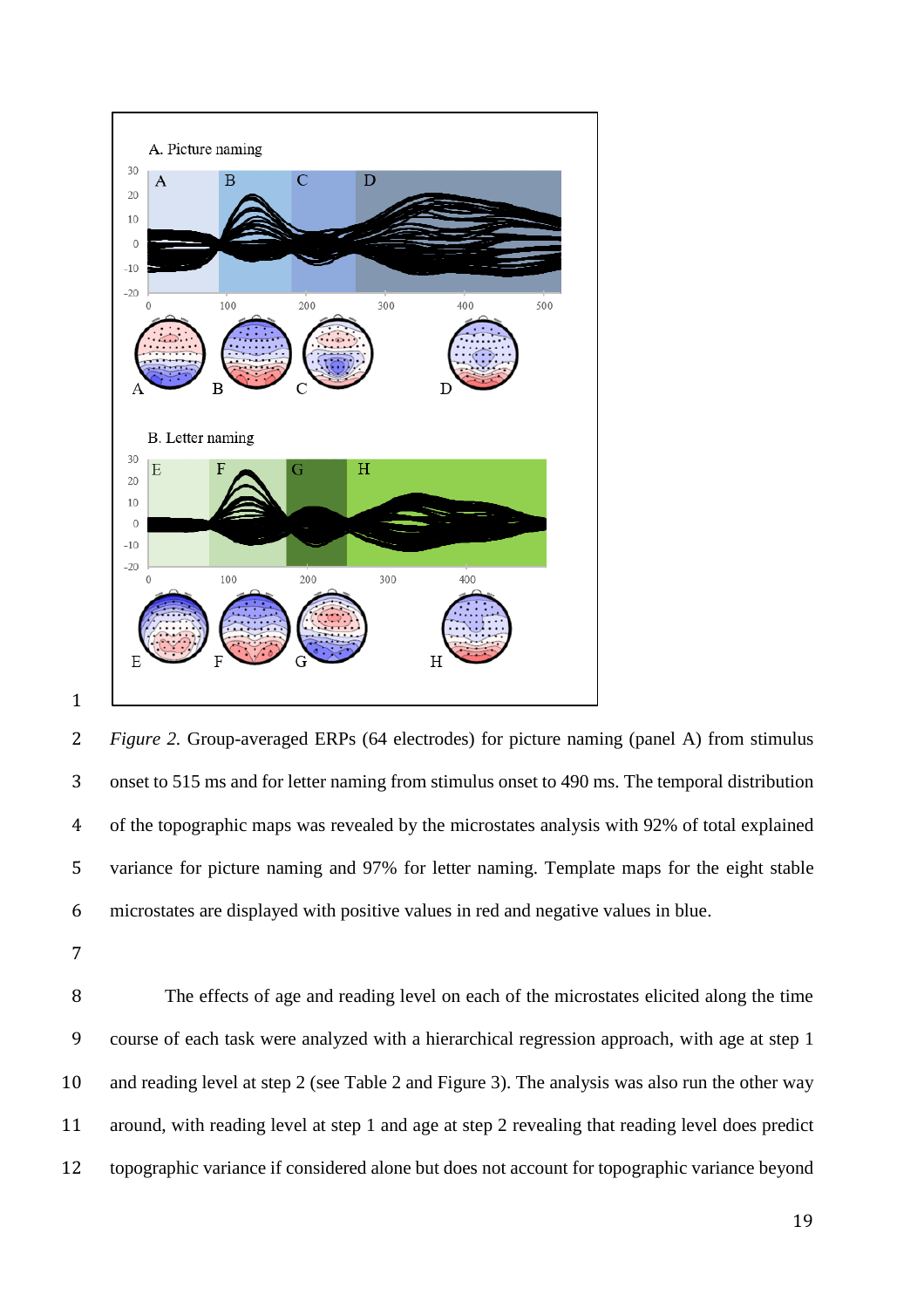

 *Figure 2.* Group-averaged ERPs (64 electrodes) for picture naming (panel A) from stimulus onset to 515 ms and for letter naming from stimulus onset to 490 ms. The temporal distribution of the topographic maps was revealed by the microstates analysis with 92% of total explained variance for picture naming and 97% for letter naming. Template maps for the eight stable microstates are displayed with positive values in red and negative values in blue.

 The effects of age and reading level on each of the microstates elicited along the time course of each task were analyzed with a hierarchical regression approach, with age at step 1 and reading level at step 2 (see Table 2 and Figure 3). The analysis was also run the other way around, with reading level at step 1 and age at step 2 revealing that reading level does predict topographic variance if considered alone but does not account for topographic variance beyond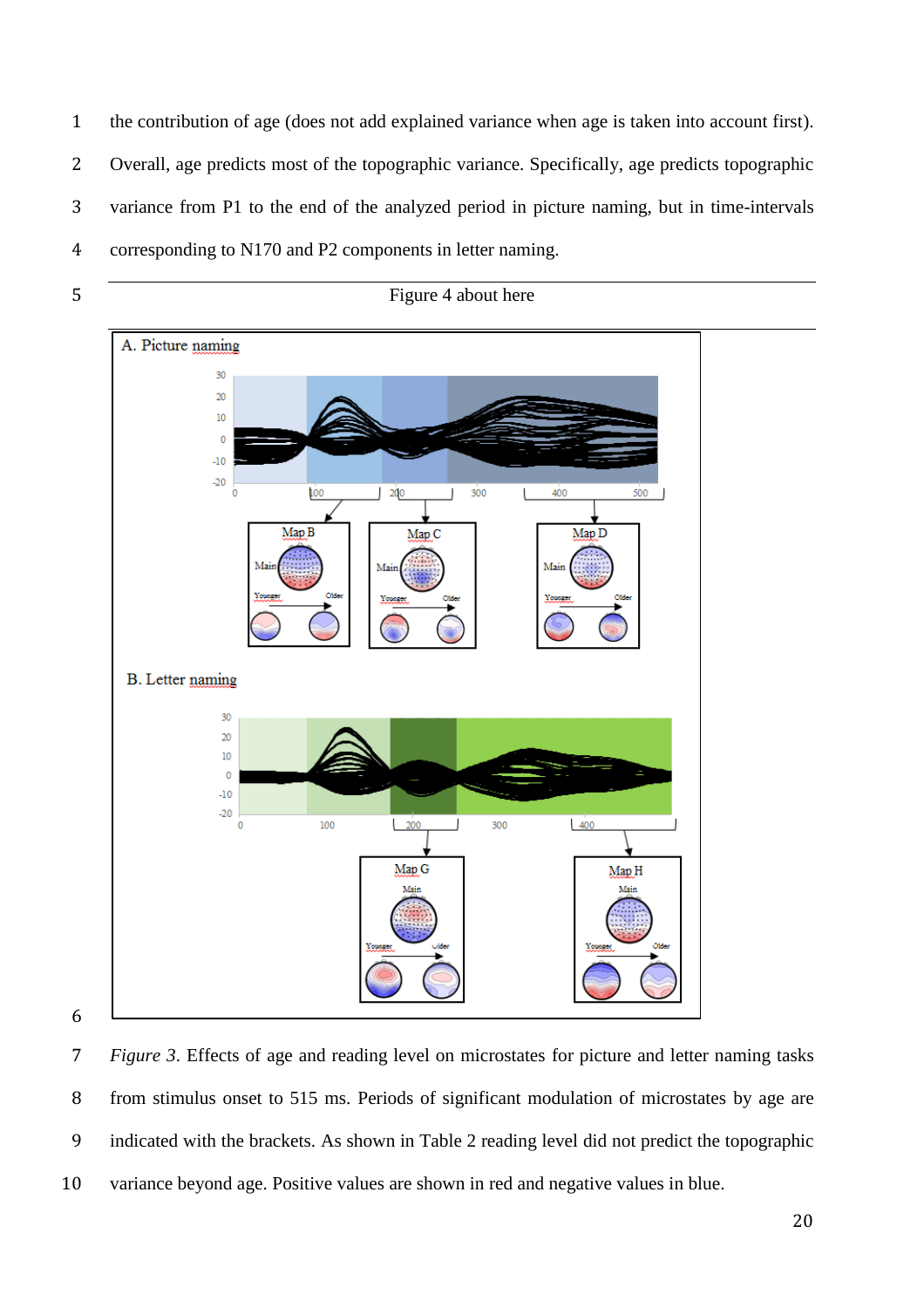the contribution of age (does not add explained variance when age is taken into account first). Overall, age predicts most of the topographic variance. Specifically, age predicts topographic variance from P1 to the end of the analyzed period in picture naming, but in time-intervals corresponding to N170 and P2 components in letter naming.





 *Figure 3*. Effects of age and reading level on microstates for picture and letter naming tasks from stimulus onset to 515 ms. Periods of significant modulation of microstates by age are indicated with the brackets. As shown in Table 2 reading level did not predict the topographic variance beyond age. Positive values are shown in red and negative values in blue.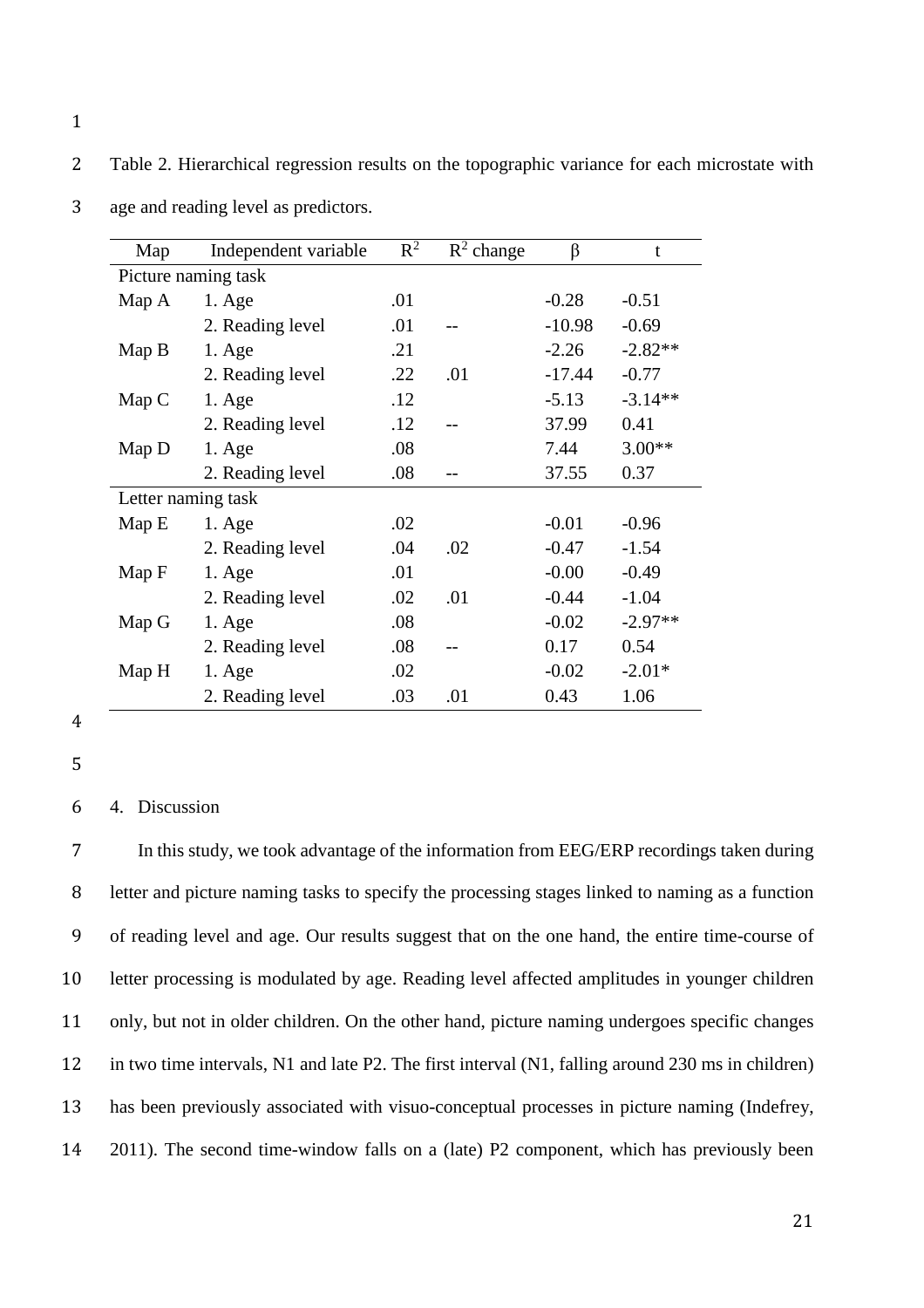2 Table 2. Hierarchical regression results on the topographic variance for each microstate with

| Map   | Independent variable | $R^2$ | $R^2$ change | β        | t         |
|-------|----------------------|-------|--------------|----------|-----------|
|       | Picture naming task  |       |              |          |           |
| Map A | $1. \text{Age}$      | .01   |              | $-0.28$  | $-0.51$   |
|       | 2. Reading level     | .01   |              | $-10.98$ | $-0.69$   |
| Map B | $1. \text{Age}$      | .21   |              | $-2.26$  | $-2.82**$ |
|       | 2. Reading level     | .22   | .01          | $-17.44$ | $-0.77$   |
| Map C | $1. \text{Age}$      | .12   |              | $-5.13$  | $-3.14**$ |
|       | 2. Reading level     | .12   |              | 37.99    | 0.41      |
| Map D | $1.$ Age             | .08   |              | 7.44     | $3.00**$  |
|       | 2. Reading level     | .08   |              | 37.55    | 0.37      |
|       | Letter naming task   |       |              |          |           |
| Map E | $1. \text{Age}$      | .02   |              | $-0.01$  | $-0.96$   |
|       | 2. Reading level     | .04   | .02          | $-0.47$  | $-1.54$   |
| Map F | $1. \text{Age}$      | .01   |              | $-0.00$  | $-0.49$   |
|       | 2. Reading level     | .02   | .01          | $-0.44$  | $-1.04$   |
| Map G | $1. \text{Age}$      | .08   |              | $-0.02$  | $-2.97**$ |
|       | 2. Reading level     | .08   |              | 0.17     | 0.54      |
| Map H | $1. \text{Age}$      | .02   |              | $-0.02$  | $-2.01*$  |
|       | 2. Reading level     | .03   | .01          | 0.43     | 1.06      |

3 age and reading level as predictors.

- 4
- 5

## 6 4. Discussion

 In this study, we took advantage of the information from EEG/ERP recordings taken during letter and picture naming tasks to specify the processing stages linked to naming as a function of reading level and age. Our results suggest that on the one hand, the entire time-course of letter processing is modulated by age. Reading level affected amplitudes in younger children only, but not in older children. On the other hand, picture naming undergoes specific changes in two time intervals, N1 and late P2. The first interval (N1, falling around 230 ms in children) has been previously associated with visuo-conceptual processes in picture naming (Indefrey, 2011). The second time-window falls on a (late) P2 component, which has previously been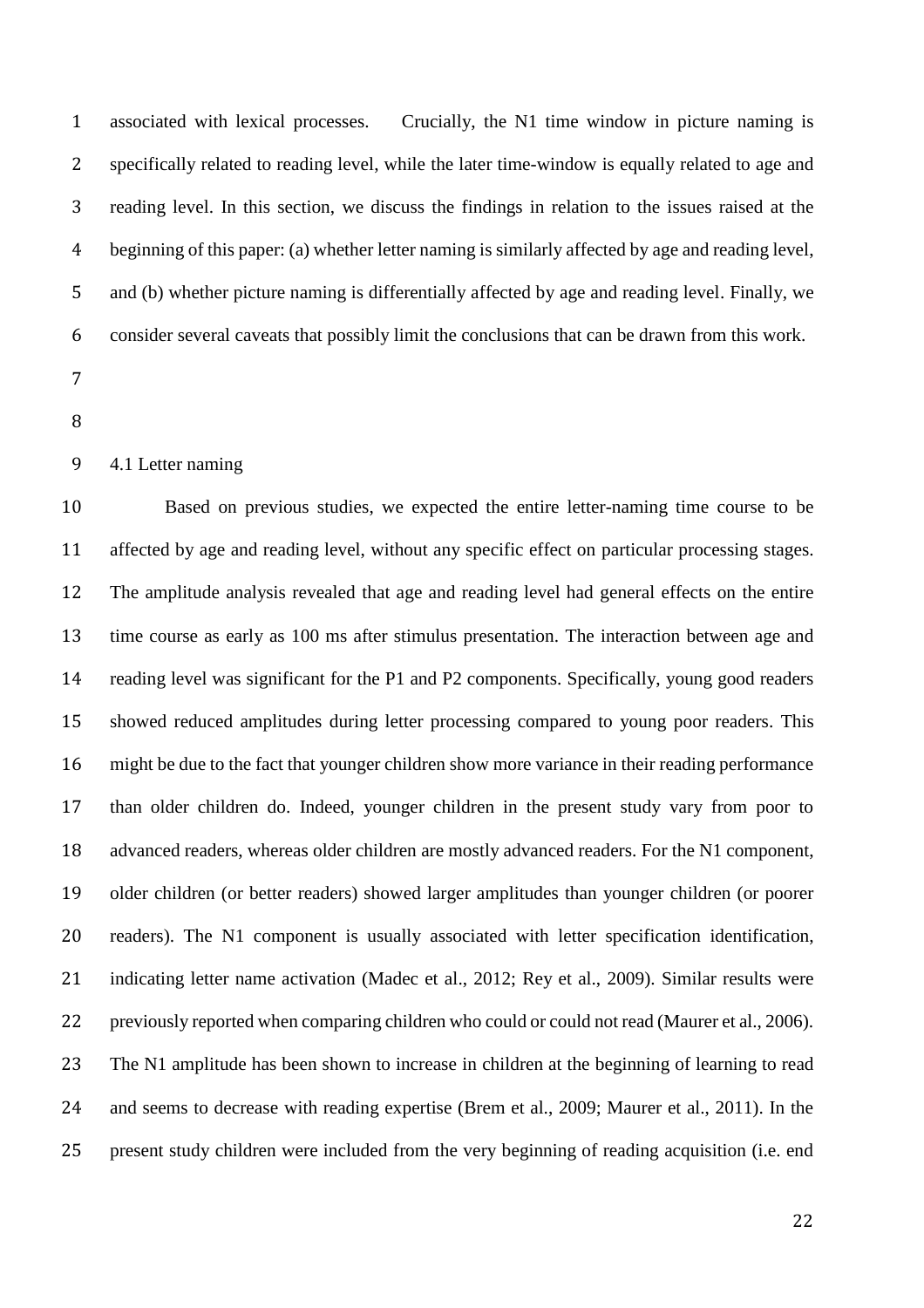associated with lexical processes. Crucially, the N1 time window in picture naming is specifically related to reading level, while the later time-window is equally related to age and reading level. In this section, we discuss the findings in relation to the issues raised at the beginning of this paper: (a) whether letter naming is similarly affected by age and reading level, and (b) whether picture naming is differentially affected by age and reading level. Finally, we consider several caveats that possibly limit the conclusions that can be drawn from this work.

- 
- 

#### 4.1 Letter naming

 Based on previous studies, we expected the entire letter-naming time course to be affected by age and reading level, without any specific effect on particular processing stages. The amplitude analysis revealed that age and reading level had general effects on the entire time course as early as 100 ms after stimulus presentation. The interaction between age and reading level was significant for the P1 and P2 components. Specifically, young good readers showed reduced amplitudes during letter processing compared to young poor readers. This might be due to the fact that younger children show more variance in their reading performance than older children do. Indeed, younger children in the present study vary from poor to advanced readers, whereas older children are mostly advanced readers. For the N1 component, older children (or better readers) showed larger amplitudes than younger children (or poorer readers). The N1 component is usually associated with letter specification identification, indicating letter name activation (Madec et al., 2012; Rey et al., 2009). Similar results were previously reported when comparing children who could or could not read (Maurer et al., 2006). The N1 amplitude has been shown to increase in children at the beginning of learning to read and seems to decrease with reading expertise (Brem et al., 2009; Maurer et al., 2011). In the present study children were included from the very beginning of reading acquisition (i.e. end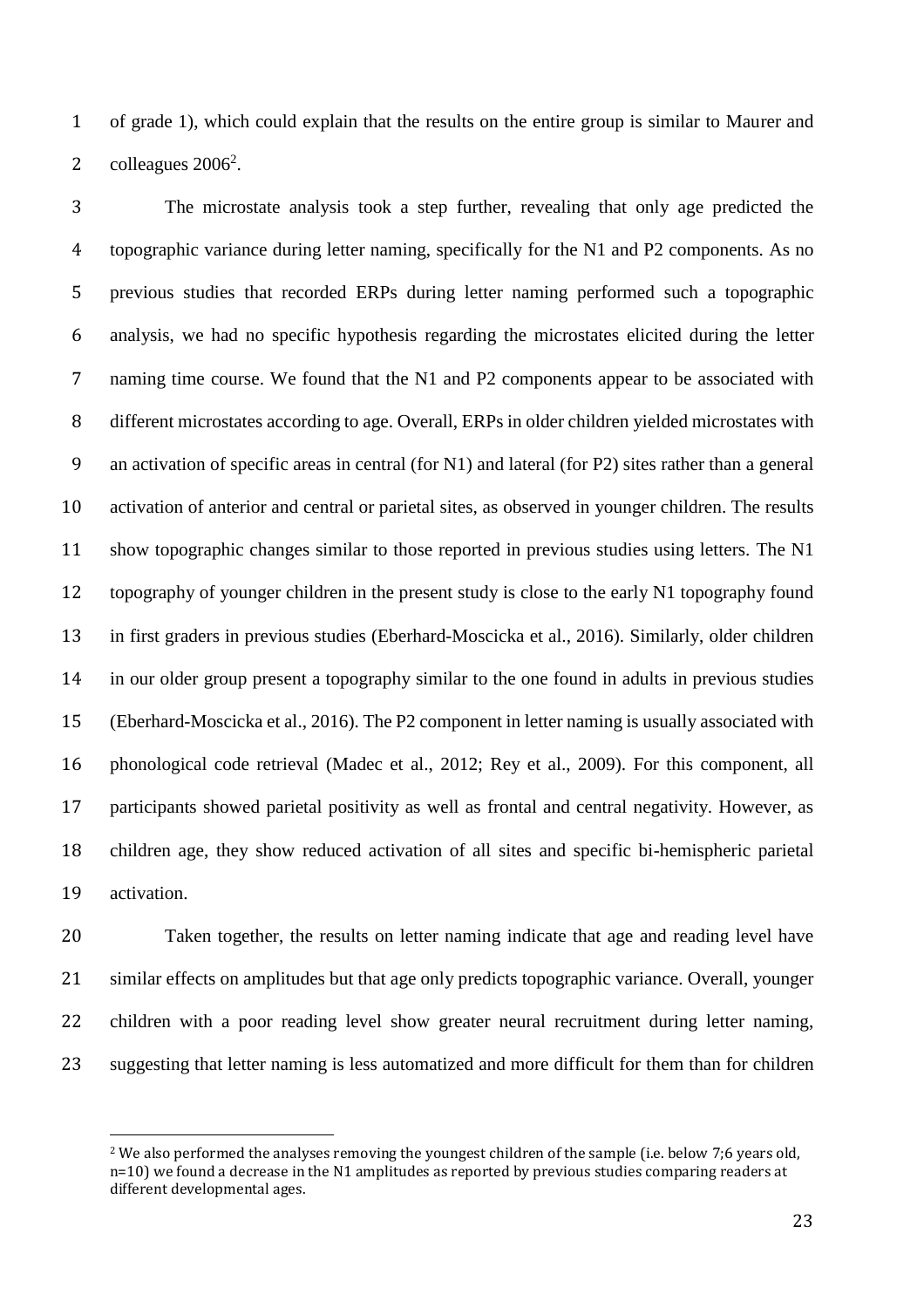of grade 1), which could explain that the results on the entire group is similar to Maurer and 2 colleagues  $2006^2$ .

 The microstate analysis took a step further, revealing that only age predicted the topographic variance during letter naming, specifically for the N1 and P2 components. As no previous studies that recorded ERPs during letter naming performed such a topographic analysis, we had no specific hypothesis regarding the microstates elicited during the letter naming time course. We found that the N1 and P2 components appear to be associated with different microstates according to age. Overall, ERPs in older children yielded microstates with an activation of specific areas in central (for N1) and lateral (for P2) sites rather than a general activation of anterior and central or parietal sites, as observed in younger children. The results show topographic changes similar to those reported in previous studies using letters. The N1 topography of younger children in the present study is close to the early N1 topography found in first graders in previous studies (Eberhard-Moscicka et al., 2016). Similarly, older children in our older group present a topography similar to the one found in adults in previous studies (Eberhard-Moscicka et al., 2016). The P2 component in letter naming is usually associated with phonological code retrieval (Madec et al., 2012; Rey et al., 2009). For this component, all participants showed parietal positivity as well as frontal and central negativity. However, as children age, they show reduced activation of all sites and specific bi-hemispheric parietal activation.

 Taken together, the results on letter naming indicate that age and reading level have similar effects on amplitudes but that age only predicts topographic variance. Overall, younger children with a poor reading level show greater neural recruitment during letter naming, suggesting that letter naming is less automatized and more difficult for them than for children

 $\overline{\phantom{a}}$ 

 We also performed the analyses removing the youngest children of the sample (i.e. below 7;6 years old, n=10) we found a decrease in the N1 amplitudes as reported by previous studies comparing readers at different developmental ages.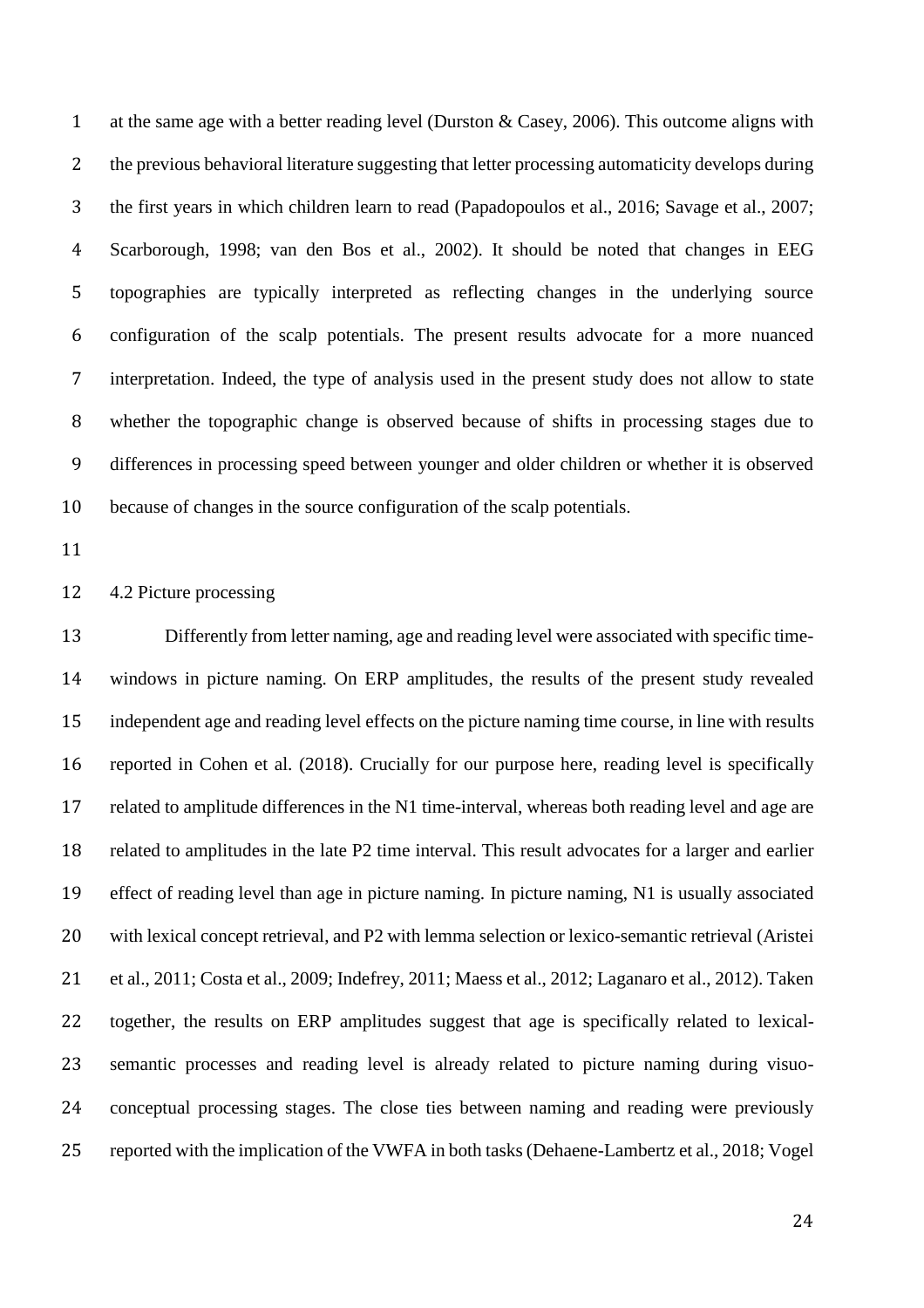1 at the same age with a better reading level (Durston & Casey, 2006). This outcome aligns with the previous behavioral literature suggesting that letter processing automaticity develops during the first years in which children learn to read (Papadopoulos et al., 2016; Savage et al., 2007; Scarborough, 1998; van den Bos et al., 2002). It should be noted that changes in EEG topographies are typically interpreted as reflecting changes in the underlying source configuration of the scalp potentials. The present results advocate for a more nuanced interpretation. Indeed, the type of analysis used in the present study does not allow to state whether the topographic change is observed because of shifts in processing stages due to differences in processing speed between younger and older children or whether it is observed because of changes in the source configuration of the scalp potentials.

### 4.2 Picture processing

 Differently from letter naming, age and reading level were associated with specific time- windows in picture naming. On ERP amplitudes, the results of the present study revealed independent age and reading level effects on the picture naming time course, in line with results reported in Cohen et al. (2018). Crucially for our purpose here, reading level is specifically related to amplitude differences in the N1 time-interval, whereas both reading level and age are related to amplitudes in the late P2 time interval. This result advocates for a larger and earlier effect of reading level than age in picture naming. In picture naming, N1 is usually associated with lexical concept retrieval, and P2 with lemma selection or lexico-semantic retrieval (Aristei et al., 2011; Costa et al., 2009; Indefrey, 2011; Maess et al., 2012; Laganaro et al., 2012). Taken together, the results on ERP amplitudes suggest that age is specifically related to lexical- semantic processes and reading level is already related to picture naming during visuo- conceptual processing stages. The close ties between naming and reading were previously reported with the implication of the VWFA in both tasks (Dehaene-Lambertz et al., 2018; Vogel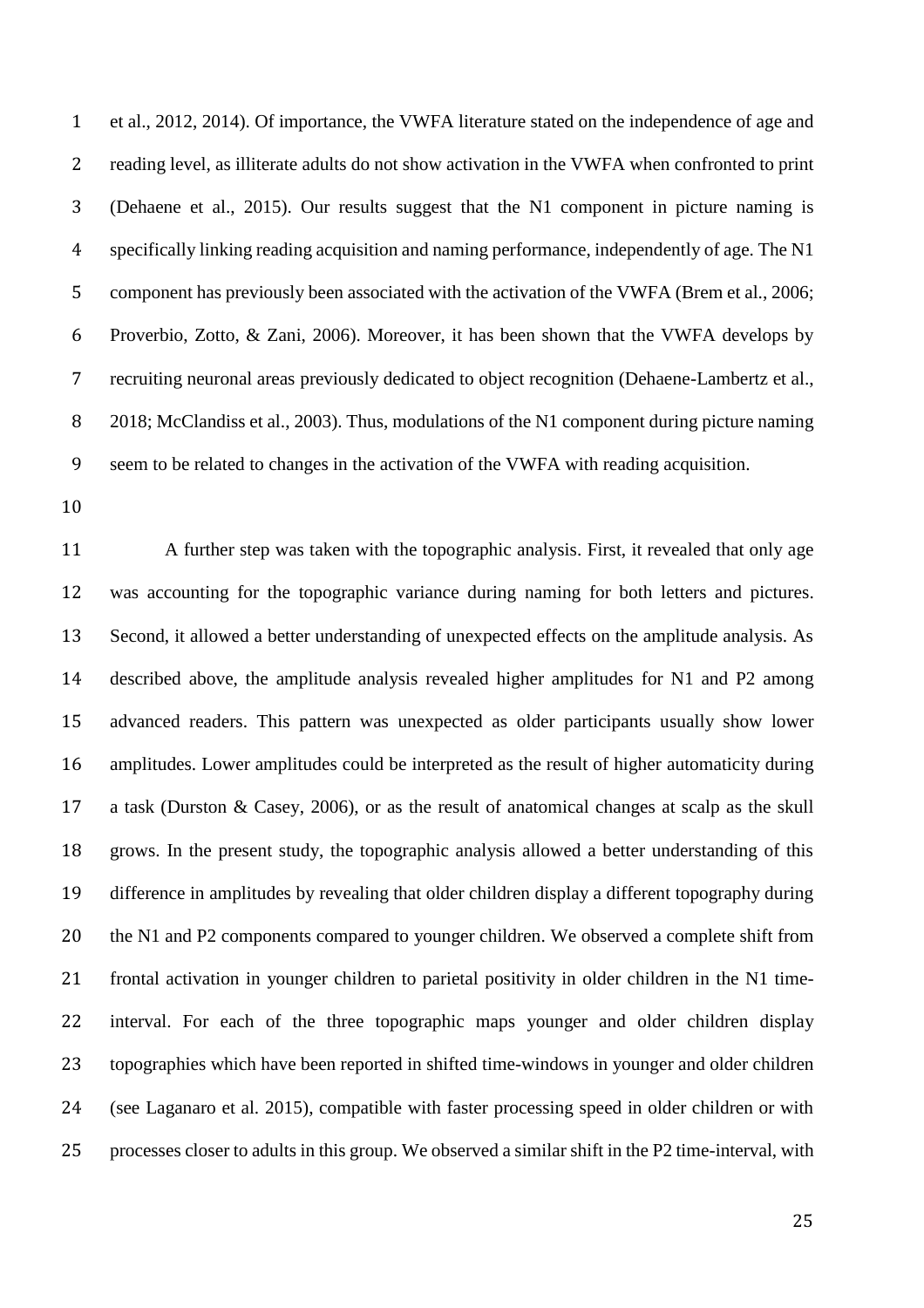et al., 2012, 2014). Of importance, the VWFA literature stated on the independence of age and reading level, as illiterate adults do not show activation in the VWFA when confronted to print (Dehaene et al., 2015). Our results suggest that the N1 component in picture naming is specifically linking reading acquisition and naming performance, independently of age. The N1 5 component has previously been associated with the activation of the VWFA (Brem et al., 2006; Proverbio, Zotto, & Zani, 2006). Moreover, it has been shown that the VWFA develops by recruiting neuronal areas previously dedicated to object recognition (Dehaene-Lambertz et al., 2018; McClandiss et al., 2003). Thus, modulations of the N1 component during picture naming seem to be related to changes in the activation of the VWFA with reading acquisition.

 A further step was taken with the topographic analysis. First, it revealed that only age was accounting for the topographic variance during naming for both letters and pictures. Second, it allowed a better understanding of unexpected effects on the amplitude analysis. As described above, the amplitude analysis revealed higher amplitudes for N1 and P2 among advanced readers. This pattern was unexpected as older participants usually show lower amplitudes. Lower amplitudes could be interpreted as the result of higher automaticity during a task (Durston & Casey, 2006), or as the result of anatomical changes at scalp as the skull grows. In the present study, the topographic analysis allowed a better understanding of this difference in amplitudes by revealing that older children display a different topography during the N1 and P2 components compared to younger children. We observed a complete shift from frontal activation in younger children to parietal positivity in older children in the N1 time- interval. For each of the three topographic maps younger and older children display topographies which have been reported in shifted time-windows in younger and older children (see Laganaro et al. 2015), compatible with faster processing speed in older children or with processes closer to adults in this group. We observed a similar shift in the P2 time-interval, with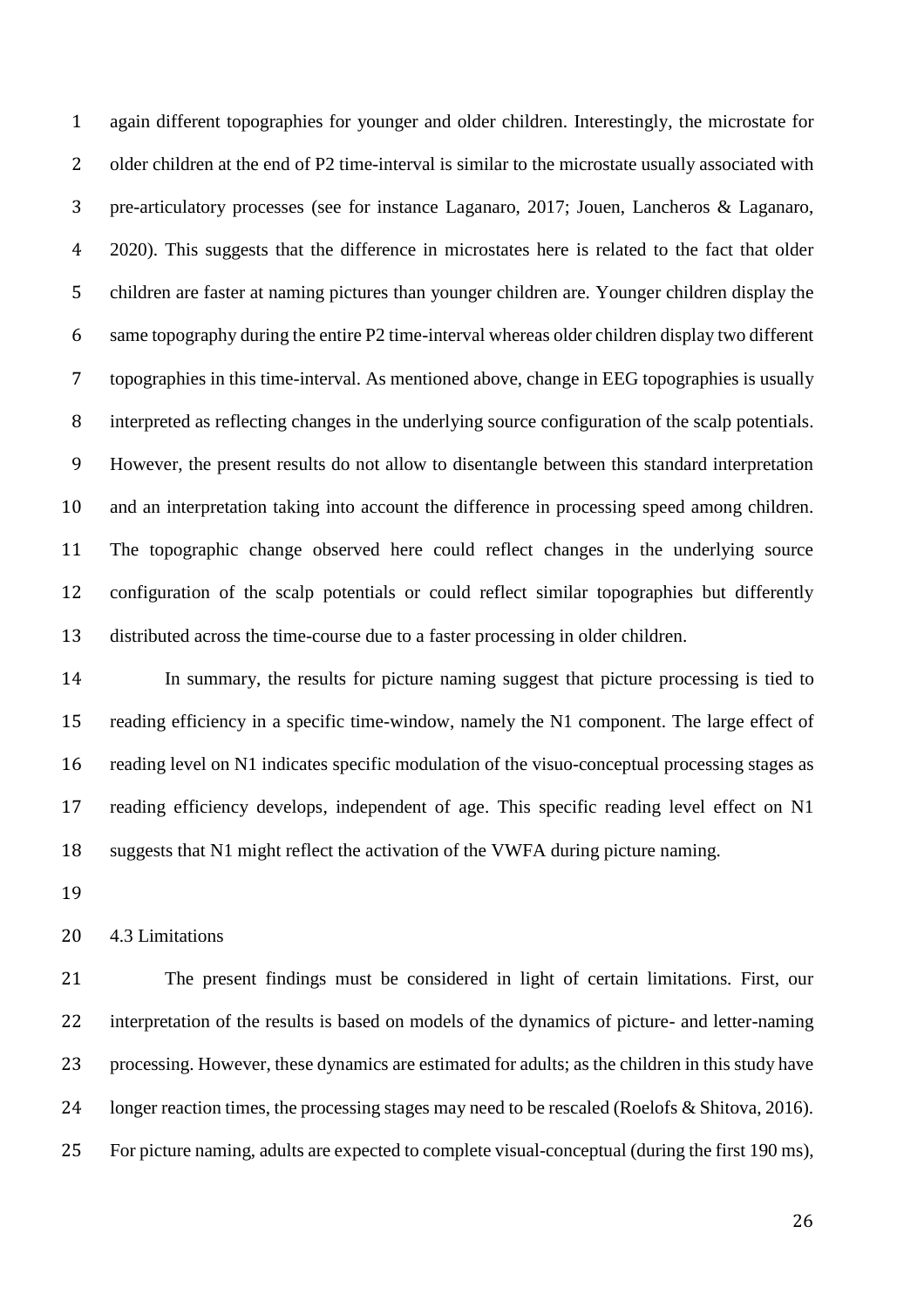again different topographies for younger and older children. Interestingly, the microstate for 2 older children at the end of P2 time-interval is similar to the microstate usually associated with pre-articulatory processes (see for instance Laganaro, 2017; Jouen, Lancheros & Laganaro, 2020). This suggests that the difference in microstates here is related to the fact that older children are faster at naming pictures than younger children are. Younger children display the same topography during the entire P2 time-interval whereas older children display two different topographies in this time-interval. As mentioned above, change in EEG topographies is usually interpreted as reflecting changes in the underlying source configuration of the scalp potentials. However, the present results do not allow to disentangle between this standard interpretation and an interpretation taking into account the difference in processing speed among children. The topographic change observed here could reflect changes in the underlying source configuration of the scalp potentials or could reflect similar topographies but differently distributed across the time-course due to a faster processing in older children.

 In summary, the results for picture naming suggest that picture processing is tied to reading efficiency in a specific time-window, namely the N1 component. The large effect of reading level on N1 indicates specific modulation of the visuo-conceptual processing stages as reading efficiency develops, independent of age. This specific reading level effect on N1 suggests that N1 might reflect the activation of the VWFA during picture naming.

4.3 Limitations

 The present findings must be considered in light of certain limitations. First, our interpretation of the results is based on models of the dynamics of picture- and letter-naming processing. However, these dynamics are estimated for adults; as the children in this study have longer reaction times, the processing stages may need to be rescaled (Roelofs & Shitova, 2016). For picture naming, adults are expected to complete visual-conceptual (during the first 190 ms),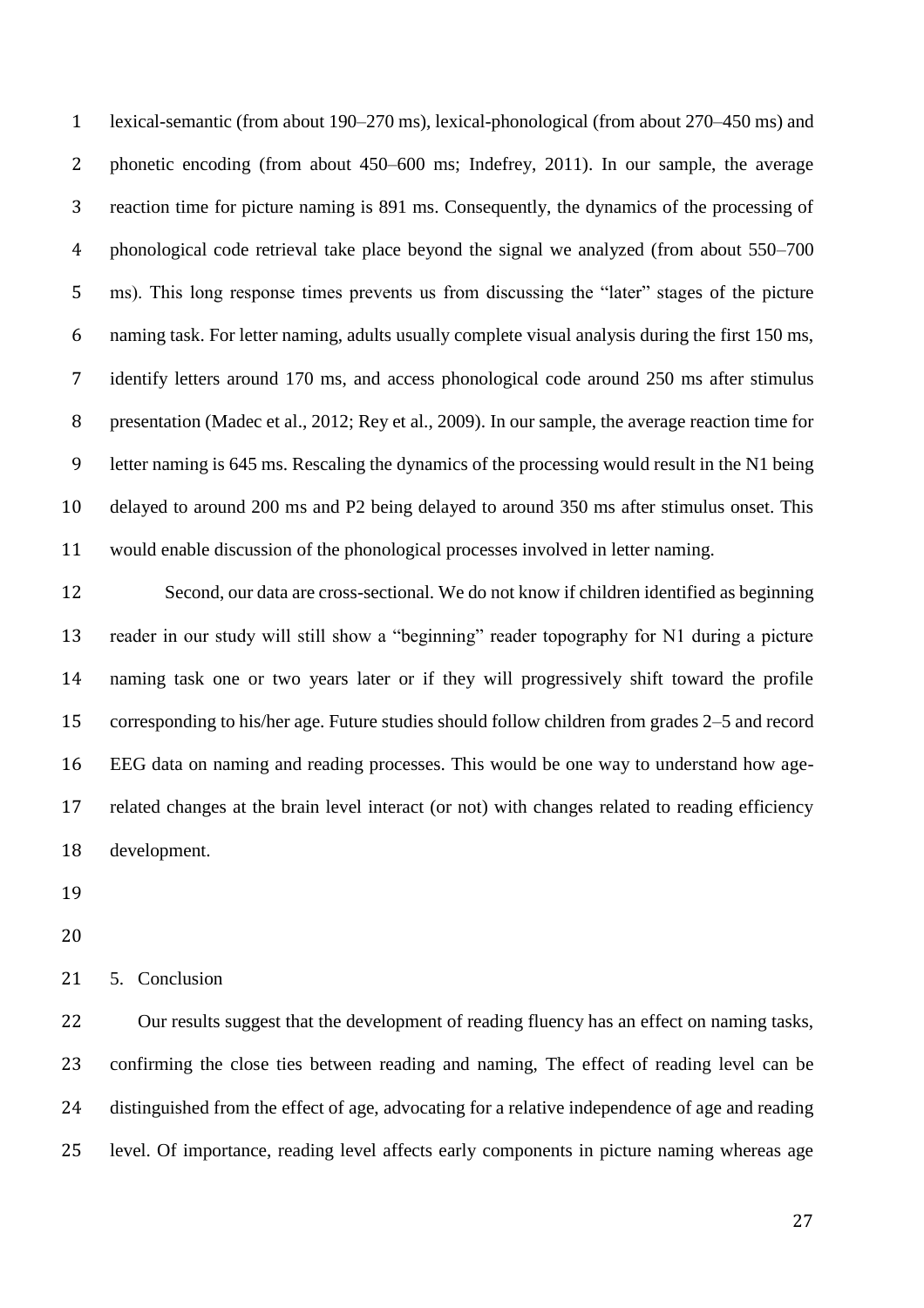lexical-semantic (from about 190–270 ms), lexical-phonological (from about 270–450 ms) and phonetic encoding (from about 450–600 ms; Indefrey, 2011). In our sample, the average reaction time for picture naming is 891 ms. Consequently, the dynamics of the processing of phonological code retrieval take place beyond the signal we analyzed (from about 550–700 ms). This long response times prevents us from discussing the "later" stages of the picture naming task. For letter naming, adults usually complete visual analysis during the first 150 ms, identify letters around 170 ms, and access phonological code around 250 ms after stimulus presentation (Madec et al., 2012; Rey et al., 2009). In our sample, the average reaction time for letter naming is 645 ms. Rescaling the dynamics of the processing would result in the N1 being delayed to around 200 ms and P2 being delayed to around 350 ms after stimulus onset. This would enable discussion of the phonological processes involved in letter naming.

 Second, our data are cross-sectional. We do not know if children identified as beginning reader in our study will still show a "beginning" reader topography for N1 during a picture naming task one or two years later or if they will progressively shift toward the profile corresponding to his/her age. Future studies should follow children from grades 2–5 and record EEG data on naming and reading processes. This would be one way to understand how age- related changes at the brain level interact (or not) with changes related to reading efficiency development.

5. Conclusion

 Our results suggest that the development of reading fluency has an effect on naming tasks, confirming the close ties between reading and naming, The effect of reading level can be distinguished from the effect of age, advocating for a relative independence of age and reading level. Of importance, reading level affects early components in picture naming whereas age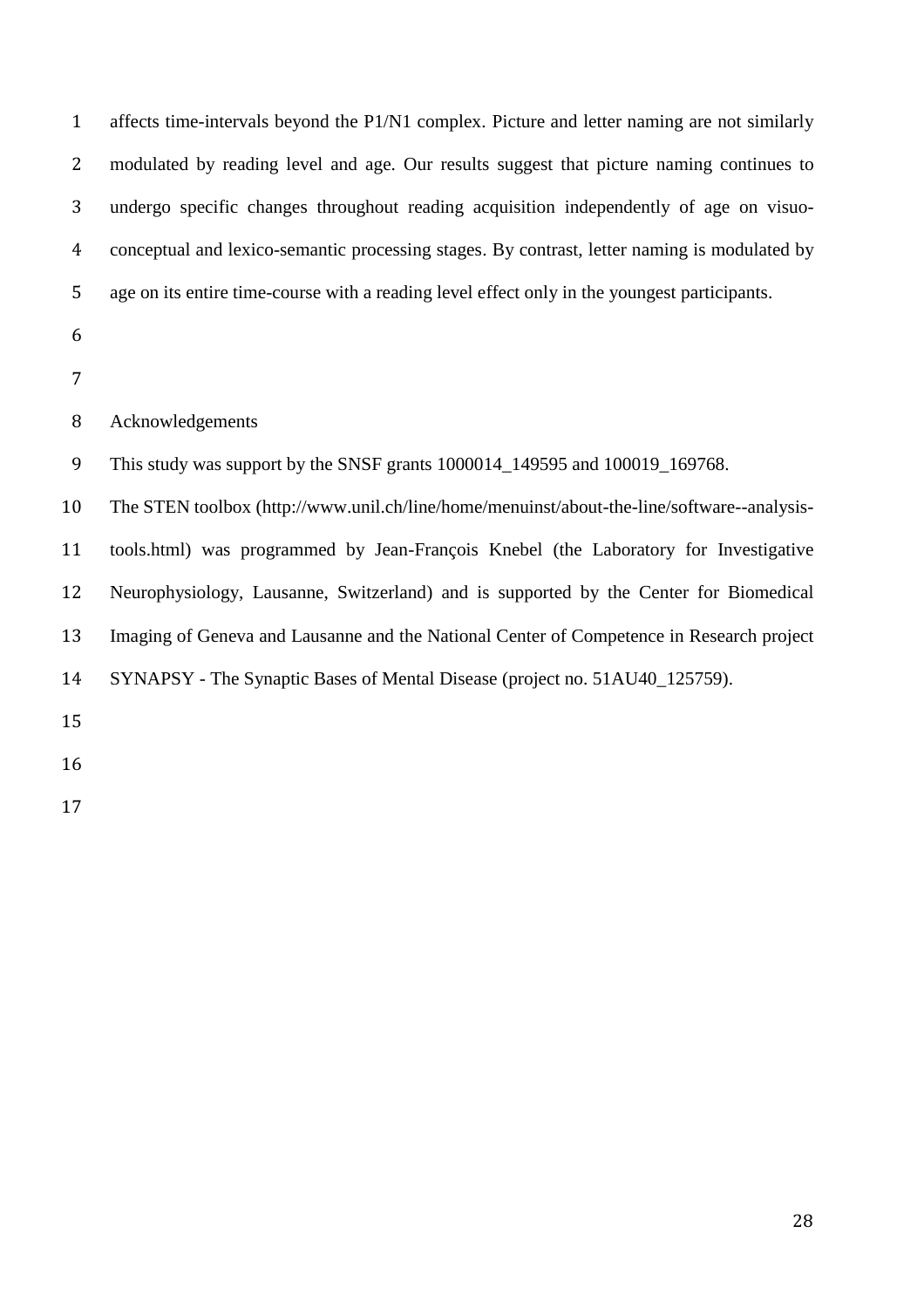| $\mathbf{1}$   | affects time-intervals beyond the P1/N1 complex. Picture and letter naming are not similarly |
|----------------|----------------------------------------------------------------------------------------------|
| $\overline{2}$ | modulated by reading level and age. Our results suggest that picture naming continues to     |
| 3              | undergo specific changes throughout reading acquisition independently of age on visuo-       |
| 4              | conceptual and lexico-semantic processing stages. By contrast, letter naming is modulated by |
| 5              | age on its entire time-course with a reading level effect only in the youngest participants. |
| 6              |                                                                                              |
| 7              |                                                                                              |
| 8              | Acknowledgements                                                                             |
| 9              | This study was support by the SNSF grants 1000014_149595 and 100019_169768.                  |
| 10             | The STEN toolbox (http://www.unil.ch/line/home/menuinst/about-the-line/software--analysis-   |
| 11             | tools.html) was programmed by Jean-François Knebel (the Laboratory for Investigative         |
| 12             | Neurophysiology, Lausanne, Switzerland) and is supported by the Center for Biomedical        |
| 13             | Imaging of Geneva and Lausanne and the National Center of Competence in Research project     |
| 14             | SYNAPSY - The Synaptic Bases of Mental Disease (project no. 51AU40_125759).                  |
| 15             |                                                                                              |
| 16             |                                                                                              |
| 17             |                                                                                              |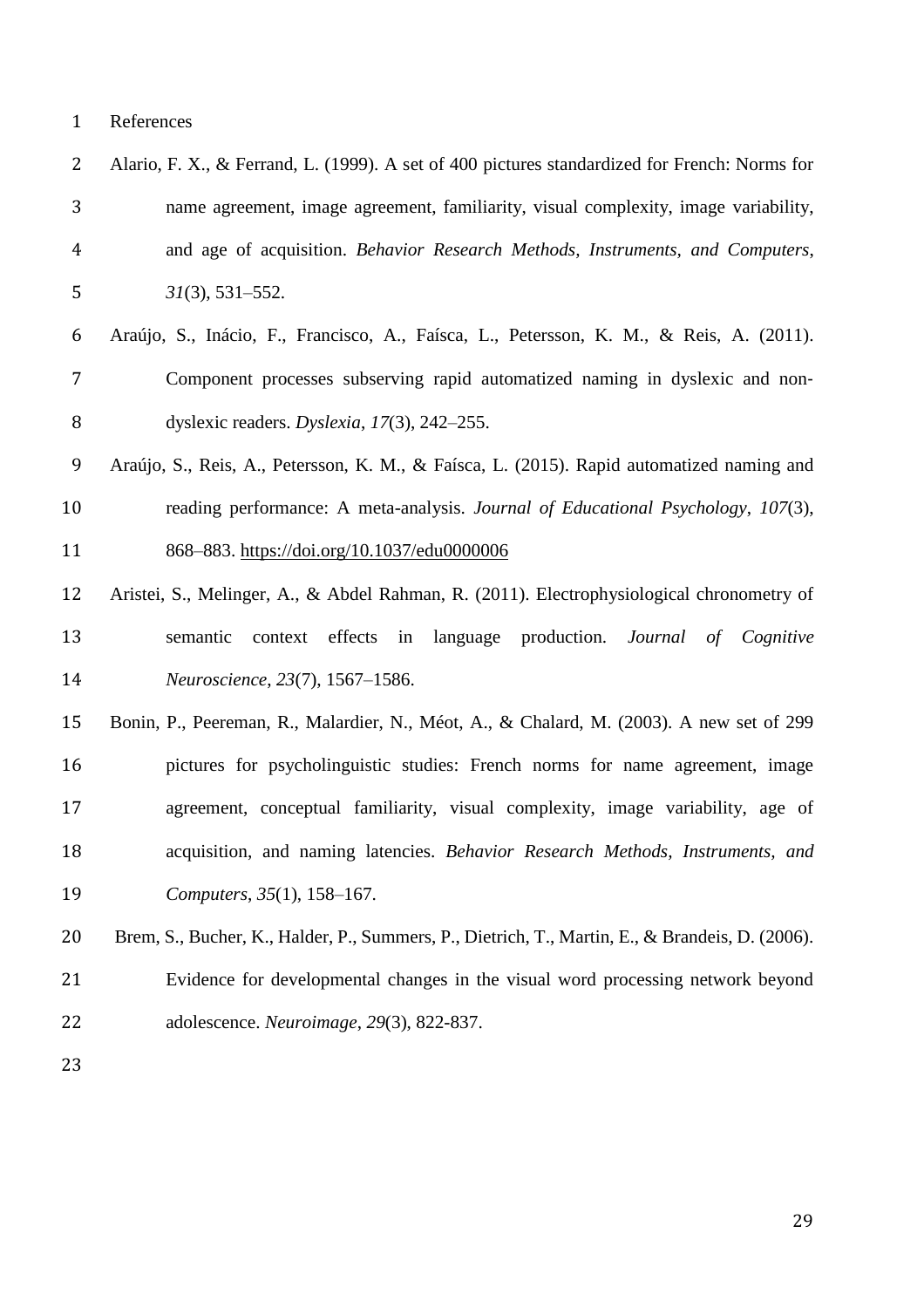| 2              | Alario, F. X., & Ferrand, L. (1999). A set of 400 pictures standardized for French: Norms for   |
|----------------|-------------------------------------------------------------------------------------------------|
| 3              | name agreement, image agreement, familiarity, visual complexity, image variability,             |
| $\overline{4}$ | and age of acquisition. Behavior Research Methods, Instruments, and Computers,                  |
| 5              | $31(3), 531-552.$                                                                               |
| 6              | Araújo, S., Inácio, F., Francisco, A., Faísca, L., Petersson, K. M., & Reis, A. (2011).         |
| 7              | Component processes subserving rapid automatized naming in dyslexic and non-                    |
| 8              | dyslexic readers. Dyslexia, $17(3)$ , $242-255$ .                                               |
| 9              | Araújo, S., Reis, A., Petersson, K. M., & Faísca, L. (2015). Rapid automatized naming and       |
| 10             | reading performance: A meta-analysis. Journal of Educational Psychology, 107(3),                |
| 11             | 868-883. https://doi.org/10.1037/edu0000006                                                     |
| 12             | Aristei, S., Melinger, A., & Abdel Rahman, R. (2011). Electrophysiological chronometry of       |
| 13             | effects in<br>language production. Journal of Cognitive<br>semantic<br>context                  |
| 14             | Neuroscience, 23(7), 1567-1586.                                                                 |
| 15             | Bonin, P., Peereman, R., Malardier, N., Méot, A., & Chalard, M. (2003). A new set of 299        |
| 16             | pictures for psycholinguistic studies: French norms for name agreement, image                   |
| 17             | agreement, conceptual familiarity, visual complexity, image variability, age of                 |
| 18             | acquisition, and naming latencies. Behavior Research Methods, Instruments, and                  |
| 19             | Computers, 35(1), 158-167.                                                                      |
| 20             | Brem, S., Bucher, K., Halder, P., Summers, P., Dietrich, T., Martin, E., & Brandeis, D. (2006). |
| 21             | Evidence for developmental changes in the visual word processing network beyond                 |
| 22             | adolescence. Neuroimage, 29(3), 822-837.                                                        |
| 23             |                                                                                                 |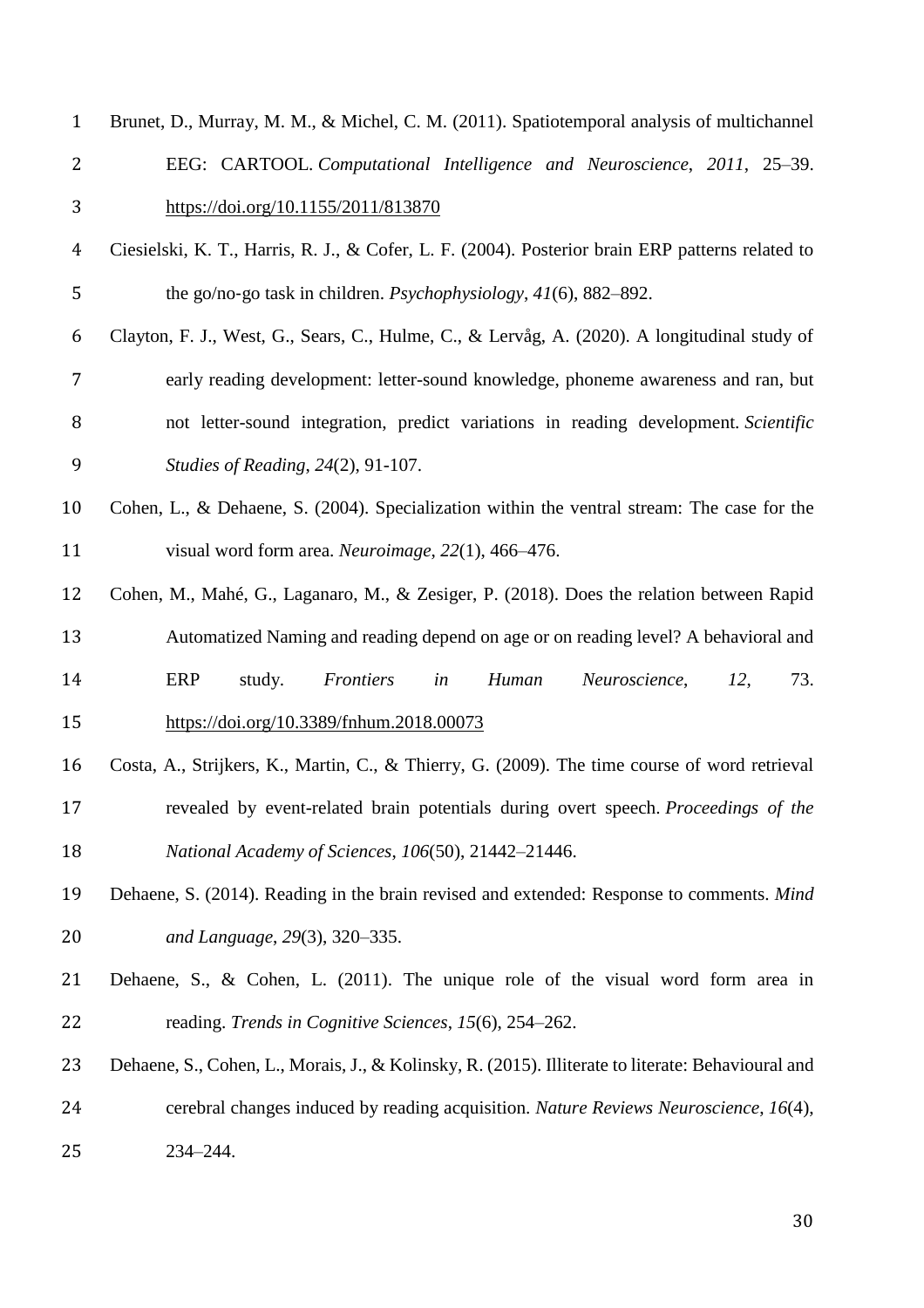| $\mathbf{1}$   | Brunet, D., Murray, M. M., & Michel, C. M. (2011). Spatiotemporal analysis of multichannel         |
|----------------|----------------------------------------------------------------------------------------------------|
| $\overline{2}$ | EEG: CARTOOL. Computational Intelligence and Neuroscience, 2011, 25–39.                            |
| 3              | https://doi.org/10.1155/2011/813870                                                                |
| 4              | Ciesielski, K. T., Harris, R. J., & Cofer, L. F. (2004). Posterior brain ERP patterns related to   |
| 5              | the go/no-go task in children. <i>Psychophysiology</i> , $41(6)$ , 882–892.                        |
| 6              | Clayton, F. J., West, G., Sears, C., Hulme, C., & Lervåg, A. (2020). A longitudinal study of       |
| 7              | early reading development: letter-sound knowledge, phoneme awareness and ran, but                  |
| 8              | not letter-sound integration, predict variations in reading development. Scientific                |
| 9              | Studies of Reading, 24(2), 91-107.                                                                 |
| 10             | Cohen, L., & Dehaene, S. (2004). Specialization within the ventral stream: The case for the        |
| 11             | visual word form area. Neuroimage, 22(1), 466-476.                                                 |
| 12             | Cohen, M., Mahé, G., Laganaro, M., & Zesiger, P. (2018). Does the relation between Rapid           |
| 13             | Automatized Naming and reading depend on age or on reading level? A behavioral and                 |
| 14             | ERP<br>Frontiers<br>Human<br>73.<br>study.<br>in<br>Neuroscience,<br>12,                           |
| 15             | https://doi.org/10.3389/fnhum.2018.00073                                                           |
| 16             | Costa, A., Strijkers, K., Martin, C., & Thierry, G. (2009). The time course of word retrieval      |
| 17             | revealed by event-related brain potentials during overt speech. Proceedings of the                 |
| 18             | National Academy of Sciences, 106(50), 21442-21446.                                                |
| 19             | Dehaene, S. (2014). Reading in the brain revised and extended: Response to comments. Mind          |
| 20             | and Language, 29(3), 320-335.                                                                      |
| 21             | Dehaene, S., & Cohen, L. $(2011)$ . The unique role of the visual word form area in                |
| 22             | reading. Trends in Cognitive Sciences, 15(6), 254–262.                                             |
| 23             | Dehaene, S., Cohen, L., Morais, J., & Kolinsky, R. (2015). Illiterate to literate: Behavioural and |
| 24             | cerebral changes induced by reading acquisition. Nature Reviews Neuroscience, 16(4),               |
| 25             | 234-244.                                                                                           |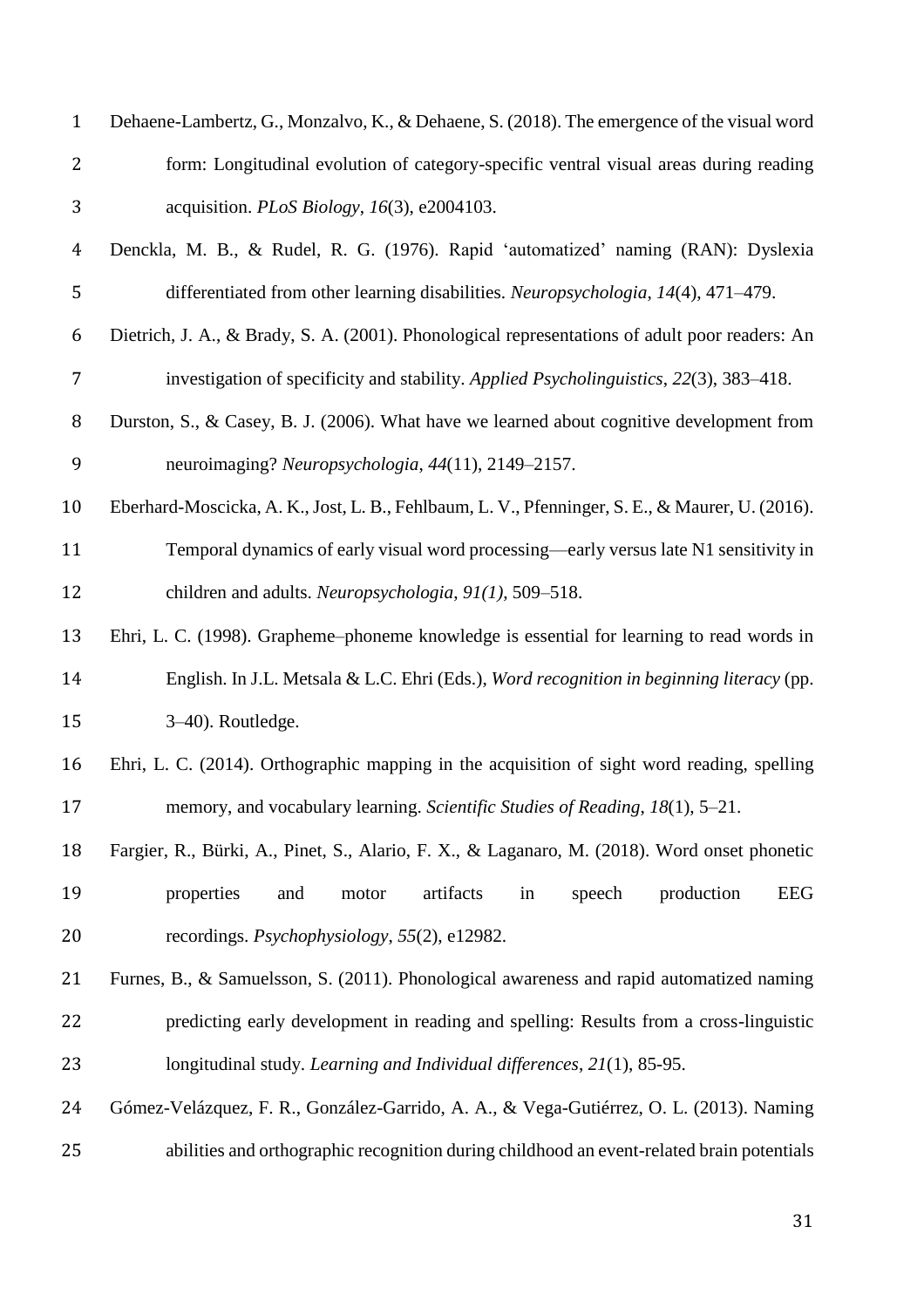| $\mathbf{1}$   | Dehaene-Lambertz, G., Monzalvo, K., & Dehaene, S. (2018). The emergence of the visual word      |
|----------------|-------------------------------------------------------------------------------------------------|
| 2              | form: Longitudinal evolution of category-specific ventral visual areas during reading           |
| 3              | acquisition. PLoS Biology, 16(3), e2004103.                                                     |
| $\overline{4}$ | Denckla, M. B., & Rudel, R. G. (1976). Rapid 'automatized' naming (RAN): Dyslexia               |
| 5              | differentiated from other learning disabilities. Neuropsychologia, 14(4), 471–479.              |
| 6              | Dietrich, J. A., & Brady, S. A. (2001). Phonological representations of adult poor readers: An  |
| 7              | investigation of specificity and stability. Applied Psycholinguistics, 22(3), 383–418.          |
| 8              | Durston, S., & Casey, B. J. (2006). What have we learned about cognitive development from       |
| 9              | neuroimaging? Neuropsychologia, 44(11), 2149-2157.                                              |
| 10             | Eberhard-Moscicka, A. K., Jost, L. B., Fehlbaum, L. V., Pfenninger, S. E., & Maurer, U. (2016). |
| 11             | Temporal dynamics of early visual word processing—early versus late N1 sensitivity in           |
| 12             | children and adults. Neuropsychologia, 91(1), 509–518.                                          |
| 13             | Ehri, L. C. (1998). Grapheme–phoneme knowledge is essential for learning to read words in       |
| 14             | English. In J.L. Metsala & L.C. Ehri (Eds.), Word recognition in beginning literacy (pp.        |
| 15             | 3-40). Routledge.                                                                               |
| 16             | Ehri, L. C. (2014). Orthographic mapping in the acquisition of sight word reading, spelling     |
| 17             | memory, and vocabulary learning. Scientific Studies of Reading, 18(1), 5–21.                    |
| 18             | Fargier, R., Bürki, A., Pinet, S., Alario, F. X., & Laganaro, M. (2018). Word onset phonetic    |
| 19             | artifacts<br>production<br>EEG<br>properties<br>speech<br>and<br>motor<br>in                    |
| 20             | recordings. <i>Psychophysiology</i> , 55(2), e12982.                                            |
| 21             | Furnes, B., & Samuelsson, S. (2011). Phonological awareness and rapid automatized naming        |
| 22             | predicting early development in reading and spelling: Results from a cross-linguistic           |
| 23             | longitudinal study. Learning and Individual differences, 21(1), 85-95.                          |
| 24             | Gómez-Velázquez, F. R., González-Garrido, A. A., & Vega-Gutiérrez, O. L. (2013). Naming         |
| 25             | abilities and orthographic recognition during childhood an event-related brain potentials       |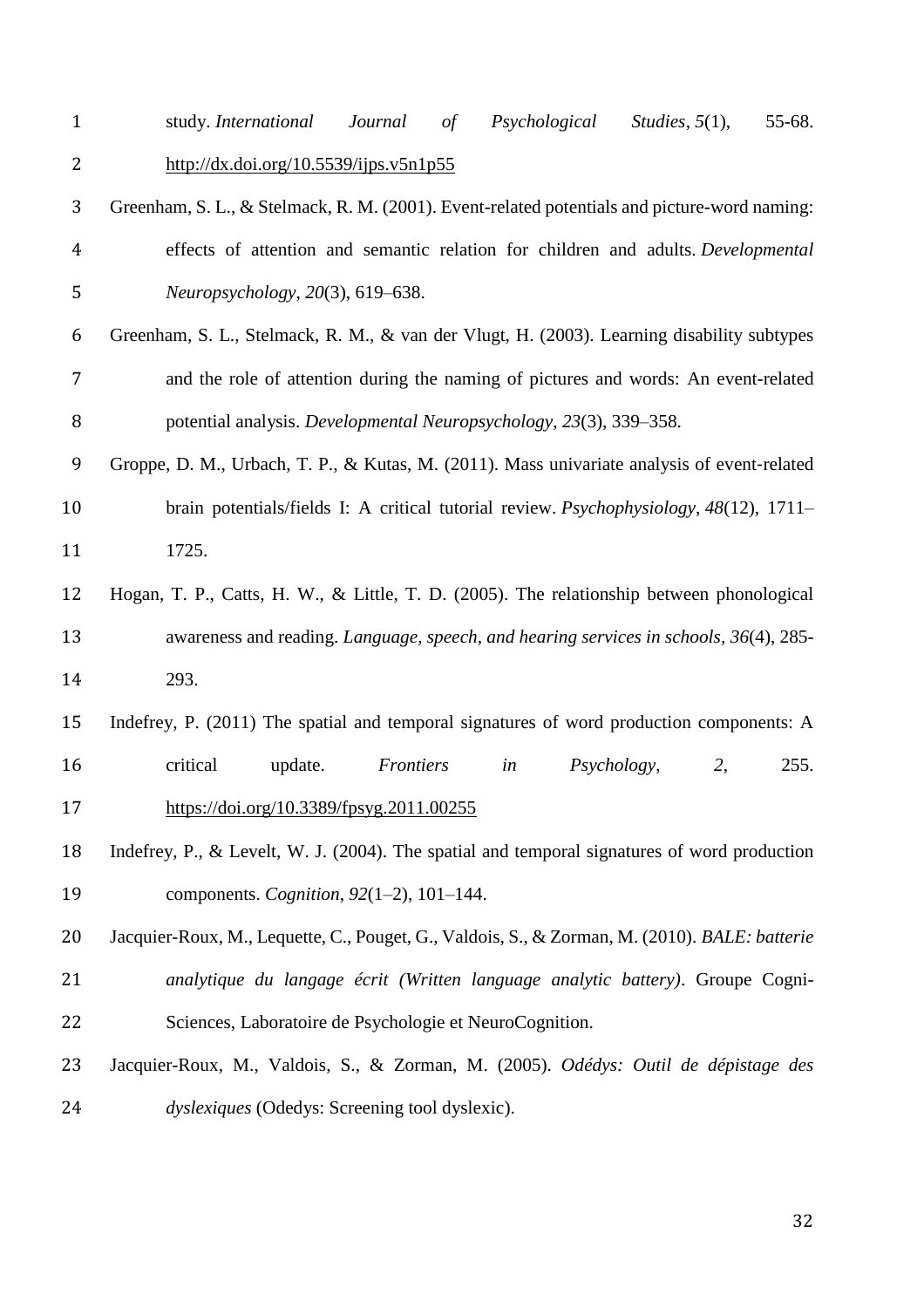study. *International Journal of Psychological Studies*, *5*(1), 55-68. <http://dx.doi.org/10.5539/ijps.v5n1p55>

- Greenham, S. L., & Stelmack, R. M. (2001). Event-related potentials and picture-word naming: effects of attention and semantic relation for children and adults. *Developmental Neuropsychology*, *20*(3), 619–638.
- Greenham, S. L., Stelmack, R. M., & van der Vlugt, H. (2003). Learning disability subtypes and the role of attention during the naming of pictures and words: An event-related potential analysis. *Developmental Neuropsychology*, *23*(3), 339–358.
- 9 Groppe, D. M., Urbach, T. P., & Kutas, M. (2011). Mass univariate analysis of event-related brain potentials/fields I: A critical tutorial review. *Psychophysiology*, *48*(12), 1711– 1725.
- Hogan, T. P., Catts, H. W., & Little, T. D. (2005). The relationship between phonological awareness and reading. *Language, speech, and hearing services in schools, 36*(4), 285- 293.
- Indefrey, P. (2011) The spatial and temporal signatures of word production components: A critical update. *Frontiers in Psychology*, *2*, 255.
- <https://doi.org/10.3389/fpsyg.2011.00255>
- Indefrey, P., & Levelt, W. J. (2004). The spatial and temporal signatures of word production components. *Cognition*, *92*(1–2), 101–144.
- Jacquier-Roux, M., Lequette, C., Pouget, G., Valdois, S., & Zorman, M. (2010). *BALE: batterie analytique du langage écrit (Written language analytic battery)*. Groupe Cogni-Sciences, Laboratoire de Psychologie et NeuroCognition.
- Jacquier-Roux, M., Valdois, S., & Zorman, M. (2005). *Odédys: Outil de dépistage des dyslexiques* (Odedys: Screening tool dyslexic).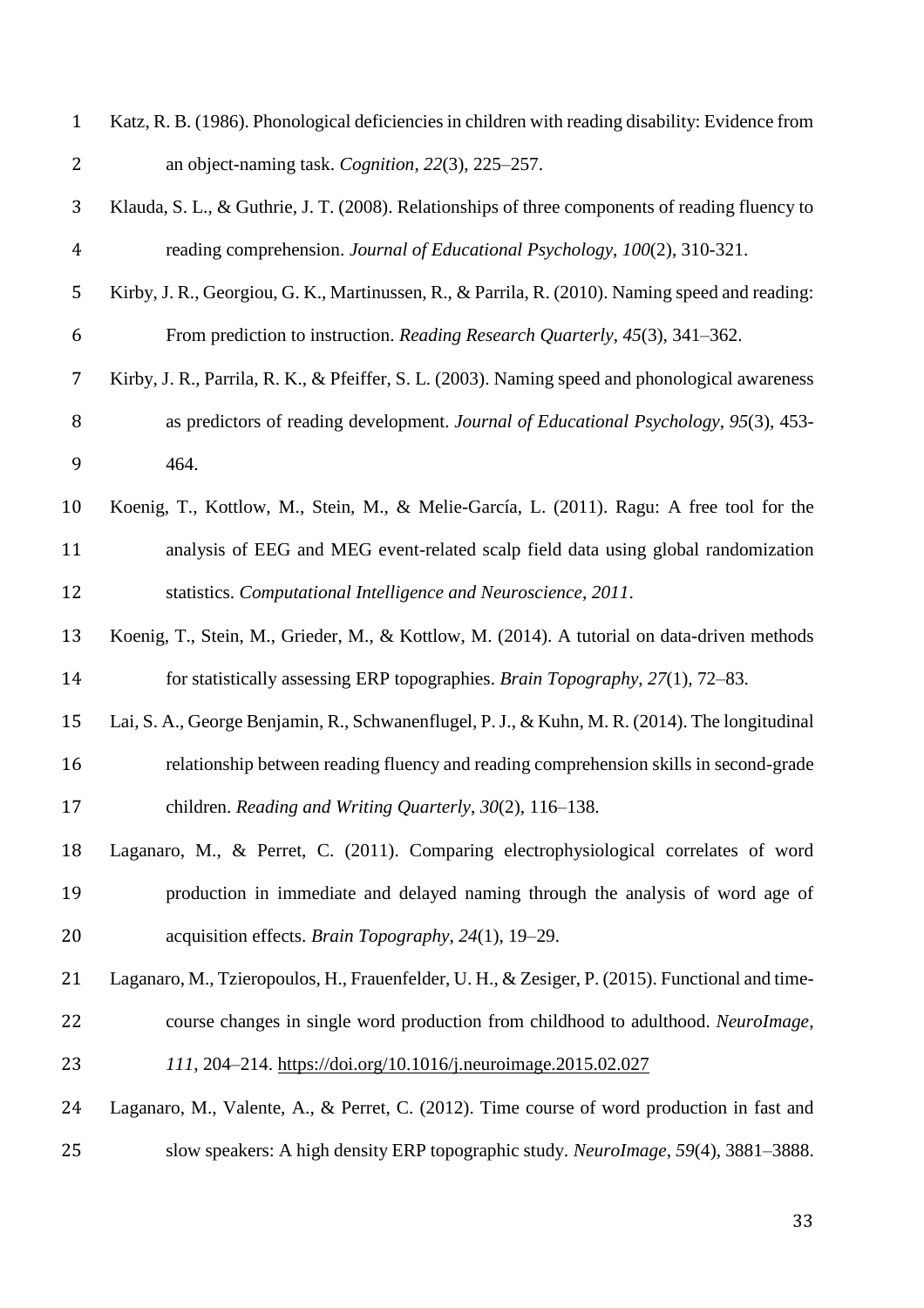| $\mathbf{1}$   | Katz, R. B. (1986). Phonological deficiencies in children with reading disability: Evidence from |
|----------------|--------------------------------------------------------------------------------------------------|
| $\overline{2}$ | an object-naming task. Cognition, 22(3), 225–257.                                                |
| 3              | Klauda, S. L., & Guthrie, J. T. (2008). Relationships of three components of reading fluency to  |
| $\overline{4}$ | reading comprehension. Journal of Educational Psychology, 100(2), 310-321.                       |
| 5              | Kirby, J. R., Georgiou, G. K., Martinussen, R., & Parrila, R. (2010). Naming speed and reading:  |
| 6              | From prediction to instruction. Reading Research Quarterly, 45(3), 341–362.                      |
| 7              | Kirby, J. R., Parrila, R. K., & Pfeiffer, S. L. (2003). Naming speed and phonological awareness  |
| 8              | as predictors of reading development. Journal of Educational Psychology, 95(3), 453-             |
| 9              | 464.                                                                                             |
| 10             | Koenig, T., Kottlow, M., Stein, M., & Melie-García, L. (2011). Ragu: A free tool for the         |
| 11             | analysis of EEG and MEG event-related scalp field data using global randomization                |
| 12             | statistics. Computational Intelligence and Neuroscience, 2011.                                   |
| 13             | Koenig, T., Stein, M., Grieder, M., & Kottlow, M. (2014). A tutorial on data-driven methods      |
| 14             | for statistically assessing ERP topographies. Brain Topography, 27(1), 72-83.                    |
| 15             | Lai, S. A., George Benjamin, R., Schwanenflugel, P. J., & Kuhn, M. R. (2014). The longitudinal   |
| 16             | relationship between reading fluency and reading comprehension skills in second-grade            |
| 17             | children. Reading and Writing Quarterly, 30(2), 116-138.                                         |
| 18             | Laganaro, M., & Perret, C. (2011). Comparing electrophysiological correlates of word             |
| 19             | production in immediate and delayed naming through the analysis of word age of                   |
| 20             | acquisition effects. Brain Topography, 24(1), 19–29.                                             |
| 21             | Laganaro, M., Tzieropoulos, H., Frauenfelder, U. H., & Zesiger, P. (2015). Functional and time-  |
| 22             | course changes in single word production from childhood to adulthood. NeuroImage,                |
| 23             | 111, 204–214. https://doi.org/10.1016/j.neuroimage.2015.02.027                                   |
| 24             | Laganaro, M., Valente, A., & Perret, C. (2012). Time course of word production in fast and       |
| 25             | slow speakers: A high density ERP topographic study. NeuroImage, 59(4), 3881-3888.               |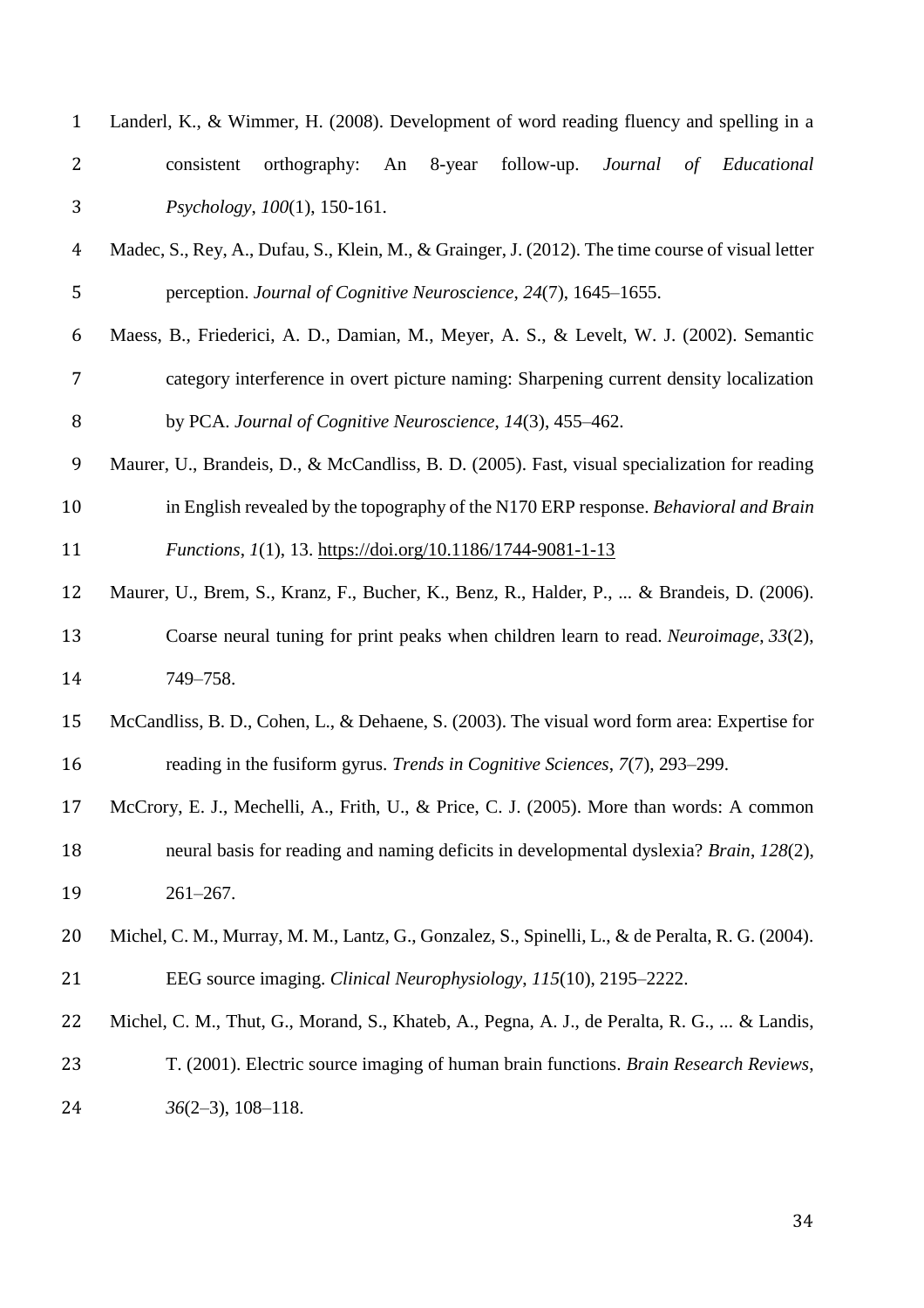| $\mathbf{1}$   | Landerl, K., & Wimmer, H. (2008). Development of word reading fluency and spelling in a           |
|----------------|---------------------------------------------------------------------------------------------------|
| 2              | 8-year<br>orthography:<br>follow-up.<br>Journal<br>of Educational<br>consistent<br>An             |
| 3              | Psychology, 100(1), 150-161.                                                                      |
| $\overline{4}$ | Madec, S., Rey, A., Dufau, S., Klein, M., & Grainger, J. (2012). The time course of visual letter |
| 5              | perception. Journal of Cognitive Neuroscience, 24(7), 1645–1655.                                  |
| 6              | Maess, B., Friederici, A. D., Damian, M., Meyer, A. S., & Levelt, W. J. (2002). Semantic          |
| 7              | category interference in overt picture naming: Sharpening current density localization            |
| 8              | by PCA. Journal of Cognitive Neuroscience, 14(3), 455–462.                                        |
| 9              | Maurer, U., Brandeis, D., & McCandliss, B. D. (2005). Fast, visual specialization for reading     |
| 10             | in English revealed by the topography of the N170 ERP response. Behavioral and Brain              |
| 11             | <i>Functions, 1(1), 13. https://doi.org/10.1186/1744-9081-1-13</i>                                |
| 12             | Maurer, U., Brem, S., Kranz, F., Bucher, K., Benz, R., Halder, P.,  & Brandeis, D. (2006).        |
| 13             | Coarse neural tuning for print peaks when children learn to read. Neuroimage, 33(2),              |
| 14             | 749-758.                                                                                          |
| 15             | McCandliss, B. D., Cohen, L., & Dehaene, S. (2003). The visual word form area: Expertise for      |
| 16             | reading in the fusiform gyrus. Trends in Cognitive Sciences, 7(7), 293–299.                       |
| 17             | McCrory, E. J., Mechelli, A., Frith, U., & Price, C. J. (2005). More than words: A common         |
| 18             | neural basis for reading and naming deficits in developmental dyslexia? Brain, 128(2),            |
| 19             | $261 - 267.$                                                                                      |
| 20             | Michel, C. M., Murray, M. M., Lantz, G., Gonzalez, S., Spinelli, L., & de Peralta, R. G. (2004).  |
| 21             | EEG source imaging. Clinical Neurophysiology, 115(10), 2195–2222.                                 |
| 22             | Michel, C. M., Thut, G., Morand, S., Khateb, A., Pegna, A. J., de Peralta, R. G.,  & Landis,      |
| 23             | T. (2001). Electric source imaging of human brain functions. Brain Research Reviews,              |
| 24             | $36(2-3), 108-118.$                                                                               |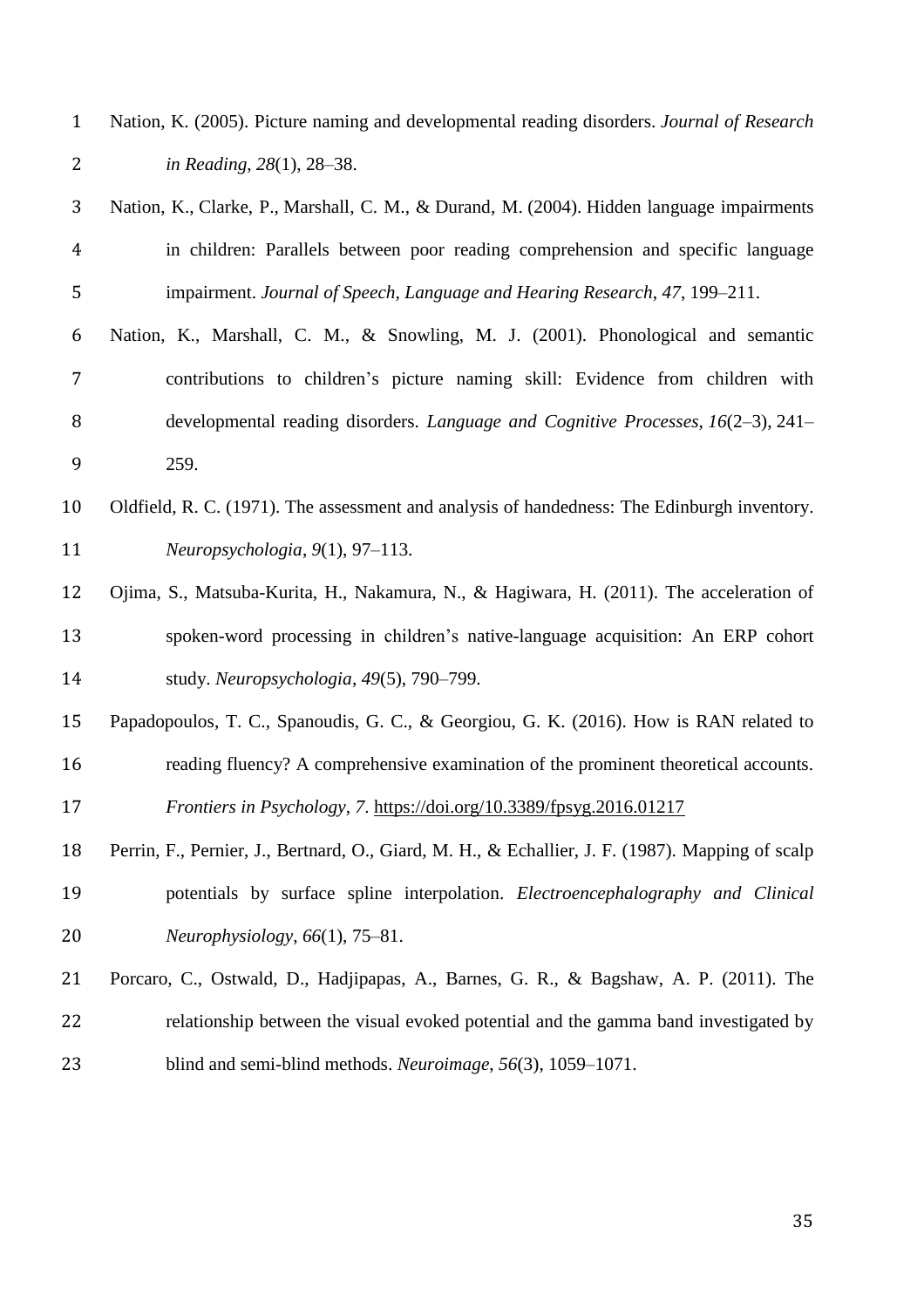| Nation, K. (2005). Picture naming and developmental reading disorders. Journal of Research |
|--------------------------------------------------------------------------------------------|
| in Reading, $28(1)$ , $28-38$ .                                                            |

- Nation, K., Clarke, P., Marshall, C. M., & Durand, M. (2004). Hidden language impairments in children: Parallels between poor reading comprehension and specific language impairment. *Journal of Speech, Language and Hearing Research*, *47*, 199–211.
- Nation, K., Marshall, C. M., & Snowling, M. J. (2001). Phonological and semantic contributions to children's picture naming skill: Evidence from children with developmental reading disorders. *Language and Cognitive Processes*, *16*(2–3), 241– 259.
- Oldfield, R. C. (1971). The assessment and analysis of handedness: The Edinburgh inventory. *Neuropsychologia*, *9*(1), 97–113.
- Ojima, S., Matsuba-Kurita, H., Nakamura, N., & Hagiwara, H. (2011). The acceleration of spoken-word processing in children's native-language acquisition: An ERP cohort study. *Neuropsychologia*, *49*(5), 790–799.
- Papadopoulos, T. C., Spanoudis, G. C., & Georgiou, G. K. (2016). How is RAN related to reading fluency? A comprehensive examination of the prominent theoretical accounts.

*Frontiers in Psychology*, *7*. <https://doi.org/10.3389/fpsyg.2016.01217>

- Perrin, F., Pernier, J., Bertnard, O., Giard, M. H., & Echallier, J. F. (1987). Mapping of scalp potentials by surface spline interpolation. *Electroencephalography and Clinical Neurophysiology*, *66*(1), 75–81.
- Porcaro, C., Ostwald, D., Hadjipapas, A., Barnes, G. R., & Bagshaw, A. P. (2011). The relationship between the visual evoked potential and the gamma band investigated by blind and semi-blind methods. *Neuroimage*, *56*(3), 1059–1071.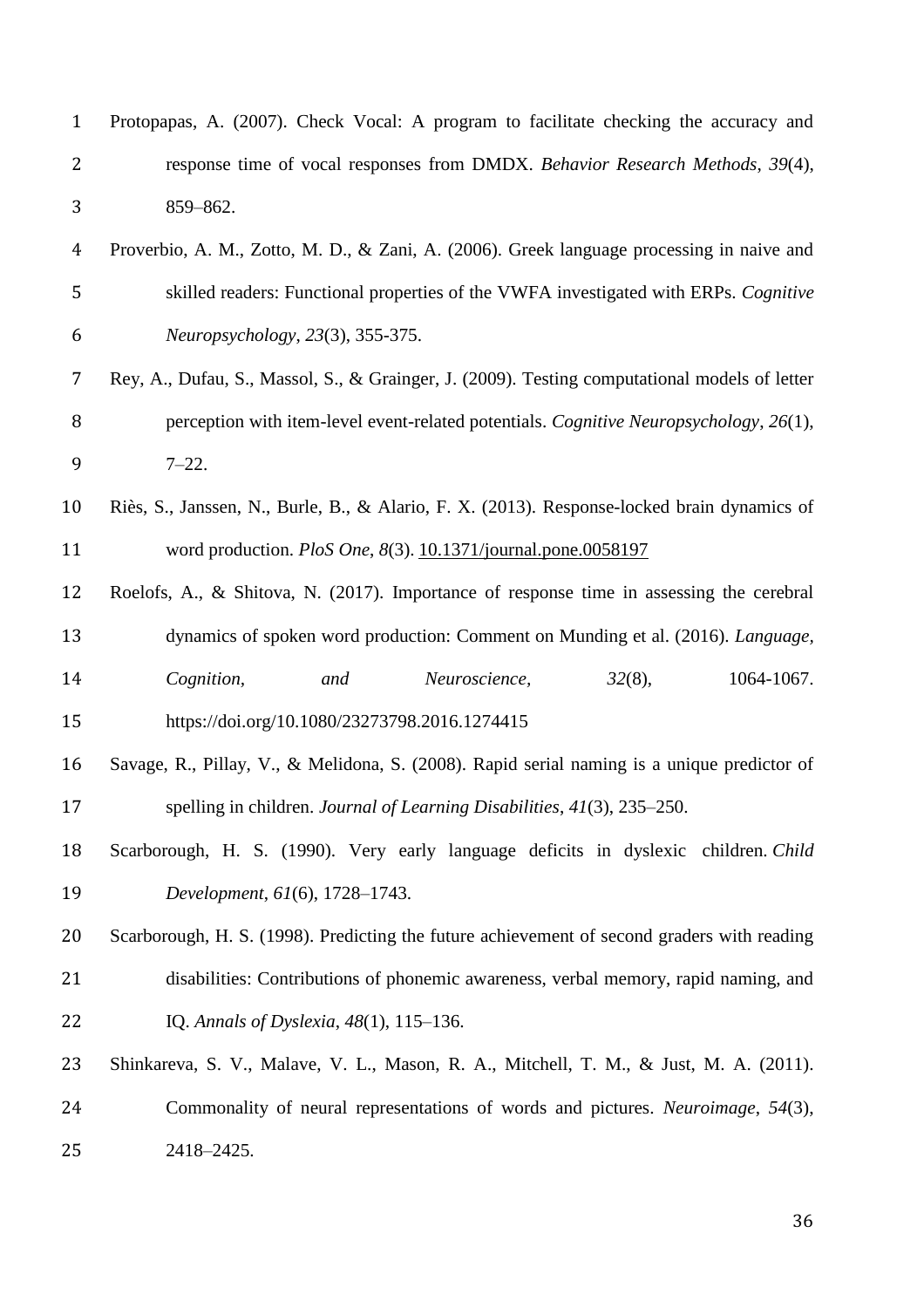| $\mathbf{1}$   | Protopapas, A. (2007). Check Vocal: A program to facilitate checking the accuracy and         |
|----------------|-----------------------------------------------------------------------------------------------|
| $\overline{2}$ | response time of vocal responses from DMDX. Behavior Research Methods, 39(4),                 |
| 3              | 859-862.                                                                                      |
| $\overline{4}$ | Proverbio, A. M., Zotto, M. D., & Zani, A. (2006). Greek language processing in naive and     |
| 5              | skilled readers: Functional properties of the VWFA investigated with ERPs. Cognitive          |
| 6              | Neuropsychology, 23(3), 355-375.                                                              |
| 7              | Rey, A., Dufau, S., Massol, S., & Grainger, J. (2009). Testing computational models of letter |
| 8              | perception with item-level event-related potentials. Cognitive Neuropsychology, 26(1),        |
| 9              | $7 - 22.$                                                                                     |
| 10             | Riès, S., Janssen, N., Burle, B., & Alario, F. X. (2013). Response-locked brain dynamics of   |
| 11             | word production. PloS One, 8(3). 10.1371/journal.pone.0058197                                 |
| 12             | Roelofs, A., & Shitova, N. (2017). Importance of response time in assessing the cerebral      |
| 13             | dynamics of spoken word production: Comment on Munding et al. (2016). Language,               |
| 14             | $32(8)$ ,<br>1064-1067.<br>Cognition,<br>Neuroscience,<br>and                                 |
| 15             | https://doi.org/10.1080/23273798.2016.1274415                                                 |
| 16             | Savage, R., Pillay, V., & Melidona, S. (2008). Rapid serial naming is a unique predictor of   |
| 17             | spelling in children. Journal of Learning Disabilities, 41(3), 235–250.                       |
| 18             | Scarborough, H. S. (1990). Very early language deficits in dyslexic children. Child           |
| 19             | Development, 61(6), 1728-1743.                                                                |
| 20             | Scarborough, H. S. (1998). Predicting the future achievement of second graders with reading   |
| 21             | disabilities: Contributions of phonemic awareness, verbal memory, rapid naming, and           |
| 22             | IQ. Annals of Dyslexia, 48(1), 115–136.                                                       |
| 23             | Shinkareva, S. V., Malave, V. L., Mason, R. A., Mitchell, T. M., & Just, M. A. (2011).        |
| 24             | Commonality of neural representations of words and pictures. Neuroimage, 54(3),               |
| 25             | 2418-2425.                                                                                    |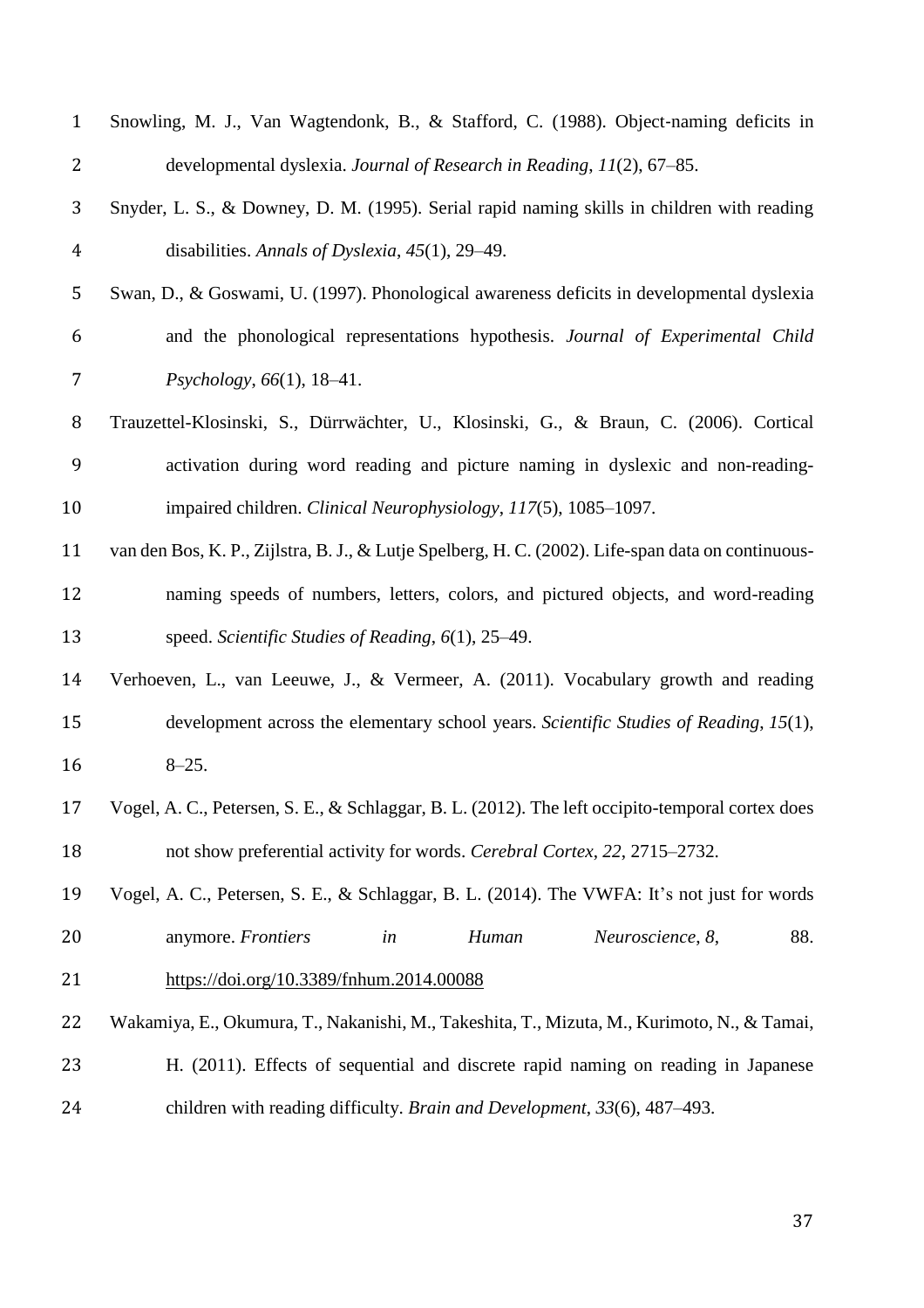| $\mathbf{1}$   | Snowling, M. J., Van Wagtendonk, B., & Stafford, C. (1988). Object-naming deficits in              |
|----------------|----------------------------------------------------------------------------------------------------|
| $\overline{2}$ | developmental dyslexia. Journal of Research in Reading, 11(2), 67-85.                              |
| 3              | Snyder, L. S., & Downey, D. M. (1995). Serial rapid naming skills in children with reading         |
| $\overline{4}$ | disabilities. Annals of Dyslexia, $45(1)$ , 29–49.                                                 |
| 5              | Swan, D., & Goswami, U. (1997). Phonological awareness deficits in developmental dyslexia          |
| 6              | and the phonological representations hypothesis. Journal of Experimental Child                     |
| 7              | Psychology, 66(1), 18–41.                                                                          |
| 8              | Trauzettel-Klosinski, S., Dürrwächter, U., Klosinski, G., & Braun, C. (2006). Cortical             |
| 9              | activation during word reading and picture naming in dyslexic and non-reading-                     |
| 10             | impaired children. Clinical Neurophysiology, 117(5), 1085–1097.                                    |
| 11             | van den Bos, K. P., Zijlstra, B. J., & Lutje Spelberg, H. C. (2002). Life-span data on continuous- |
| 12             | naming speeds of numbers, letters, colors, and pictured objects, and word-reading                  |
| 13             | speed. Scientific Studies of Reading, 6(1), 25–49.                                                 |
| 14             | Verhoeven, L., van Leeuwe, J., & Vermeer, A. (2011). Vocabulary growth and reading                 |
| 15             | development across the elementary school years. Scientific Studies of Reading, 15(1),              |
| 16             | $8 - 25.$                                                                                          |
| 17             | Vogel, A. C., Petersen, S. E., & Schlaggar, B. L. (2012). The left occipito-temporal cortex does   |
| 18             | not show preferential activity for words. Cerebral Cortex, 22, 2715–2732.                          |
| 19             | Vogel, A. C., Petersen, S. E., & Schlaggar, B. L. (2014). The VWFA: It's not just for words        |
| 20             | anymore. Frontiers<br>Human<br>Neuroscience, 8,<br>88.<br>in                                       |
| 21             | https://doi.org/10.3389/fnhum.2014.00088                                                           |
| 22             | Wakamiya, E., Okumura, T., Nakanishi, M., Takeshita, T., Mizuta, M., Kurimoto, N., & Tamai,        |
| 23             | H. (2011). Effects of sequential and discrete rapid naming on reading in Japanese                  |
| 24             | children with reading difficulty. Brain and Development, 33(6), 487-493.                           |